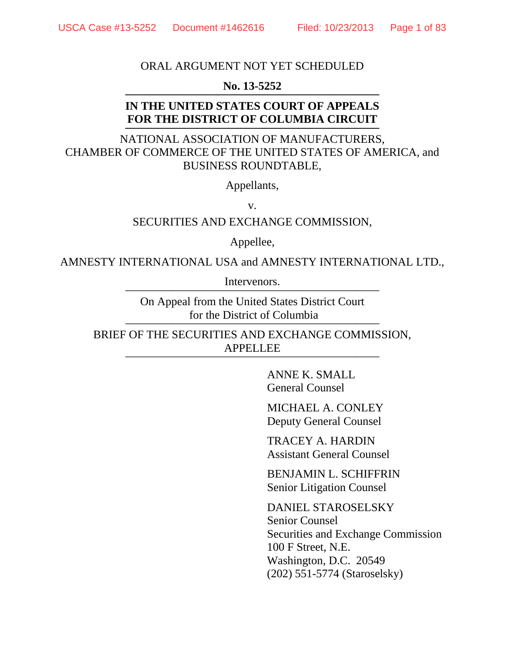## ORAL ARGUMENT NOT YET SCHEDULED

## **No. 13-5252**

#### **IN THE UNITED STATES COURT OF APPEALS FOR THE DISTRICT OF COLUMBIA CIRCUIT ——————————————————————**

NATIONAL ASSOCIATION OF MANUFACTURERS, CHAMBER OF COMMERCE OF THE UNITED STATES OF AMERICA, and BUSINESS ROUNDTABLE,

Appellants,

v.

SECURITIES AND EXCHANGE COMMISSION,

Appellee,

AMNESTY INTERNATIONAL USA and AMNESTY INTERNATIONAL LTD.,

Intervenors.

On Appeal from the United States District Court for the District of Columbia

BRIEF OF THE SECURITIES AND EXCHANGE COMMISSION, APPELLEE ——————————————————————

> ANNE K. SMALL General Counsel

MICHAEL A. CONLEY Deputy General Counsel

TRACEY A. HARDIN Assistant General Counsel

BENJAMIN L. SCHIFFRIN Senior Litigation Counsel

DANIEL STAROSELSKY Senior Counsel Securities and Exchange Commission 100 F Street, N.E. Washington, D.C. 20549 (202) 551-5774 (Staroselsky)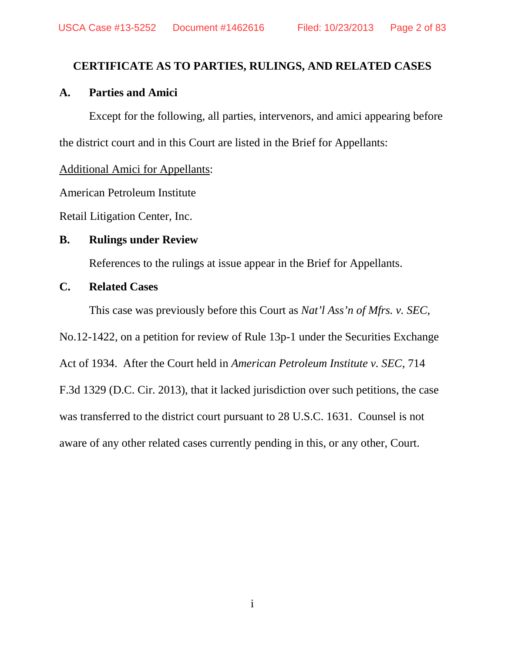# **CERTIFICATE AS TO PARTIES, RULINGS, AND RELATED CASES**

# **A. Parties and Amici**

Except for the following, all parties, intervenors, and amici appearing before the district court and in this Court are listed in the Brief for Appellants:

# Additional Amici for Appellants:

American Petroleum Institute

Retail Litigation Center, Inc.

# **B. Rulings under Review**

References to the rulings at issue appear in the Brief for Appellants.

## **C. Related Cases**

This case was previously before this Court as *Nat'l Ass'n of Mfrs. v. SEC*,

No.12-1422, on a petition for review of Rule 13p-1 under the Securities Exchange

Act of 1934. After the Court held in *American Petroleum Institute v. SEC*, 714

F.3d 1329 (D.C. Cir. 2013), that it lacked jurisdiction over such petitions, the case

was transferred to the district court pursuant to 28 U.S.C. 1631. Counsel is not

aware of any other related cases currently pending in this, or any other, Court.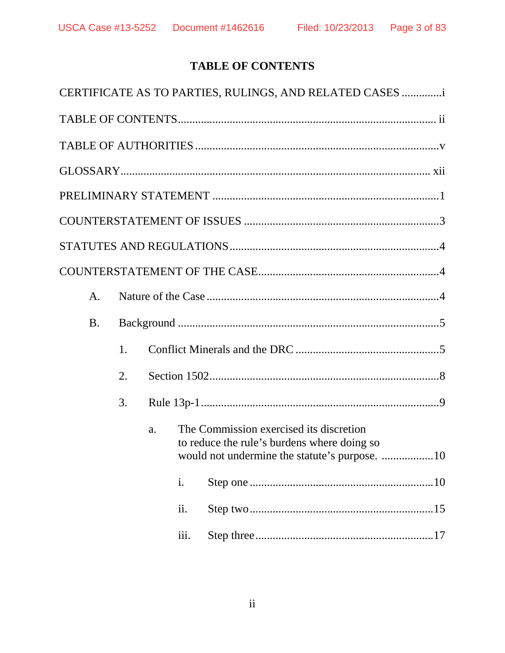# **TABLE OF CONTENTS**

|           |                |    |    |      | CERTIFICATE AS TO PARTIES, RULINGS, AND RELATED CASES                                                                                   |
|-----------|----------------|----|----|------|-----------------------------------------------------------------------------------------------------------------------------------------|
|           |                |    |    |      |                                                                                                                                         |
|           |                |    |    |      |                                                                                                                                         |
|           |                |    |    |      |                                                                                                                                         |
|           |                |    |    |      |                                                                                                                                         |
|           |                |    |    |      |                                                                                                                                         |
|           |                |    |    |      |                                                                                                                                         |
|           |                |    |    |      |                                                                                                                                         |
|           | $\mathbf{A}$ . |    |    |      |                                                                                                                                         |
| <b>B.</b> |                |    |    |      |                                                                                                                                         |
|           |                | 1. |    |      |                                                                                                                                         |
|           |                | 2. |    |      |                                                                                                                                         |
|           |                | 3. |    |      |                                                                                                                                         |
|           |                |    | a. |      | The Commission exercised its discretion<br>to reduce the rule's burdens where doing so<br>would not undermine the statute's purpose. 10 |
|           |                |    |    | i.   |                                                                                                                                         |
|           |                |    |    | ii.  |                                                                                                                                         |
|           |                |    |    | iii. |                                                                                                                                         |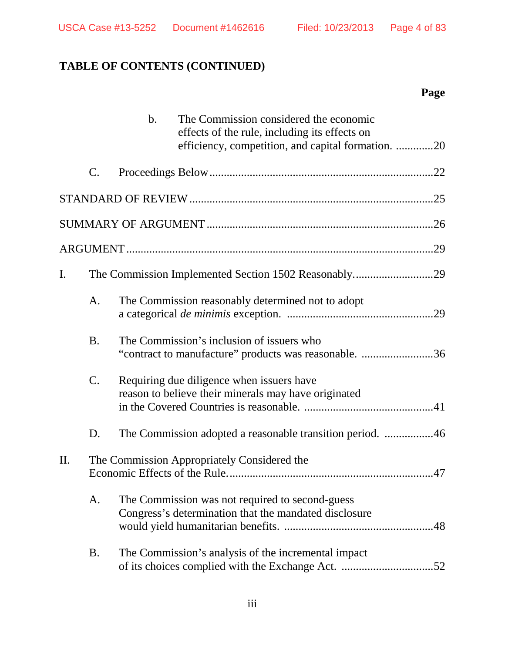# **TABLE OF CONTENTS (CONTINUED)**

# **Page**

|     |                                             | $b$ . | The Commission considered the economic<br>effects of the rule, including its effects on<br>efficiency, competition, and capital formation. 20 |  |
|-----|---------------------------------------------|-------|-----------------------------------------------------------------------------------------------------------------------------------------------|--|
|     | C.                                          |       |                                                                                                                                               |  |
|     |                                             |       |                                                                                                                                               |  |
|     |                                             |       |                                                                                                                                               |  |
|     |                                             |       |                                                                                                                                               |  |
| I.  |                                             |       |                                                                                                                                               |  |
|     | A.                                          |       | The Commission reasonably determined not to adopt                                                                                             |  |
|     | <b>B.</b>                                   |       | The Commission's inclusion of issuers who<br>"contract to manufacture" products was reasonable. 36                                            |  |
|     | C.                                          |       | Requiring due diligence when issuers have<br>reason to believe their minerals may have originated                                             |  |
|     | D.                                          |       | The Commission adopted a reasonable transition period. 46                                                                                     |  |
| II. | The Commission Appropriately Considered the |       |                                                                                                                                               |  |
|     | A.                                          |       | The Commission was not required to second-guess<br>Congress's determination that the mandated disclosure                                      |  |
|     | <b>B.</b>                                   |       | The Commission's analysis of the incremental impact                                                                                           |  |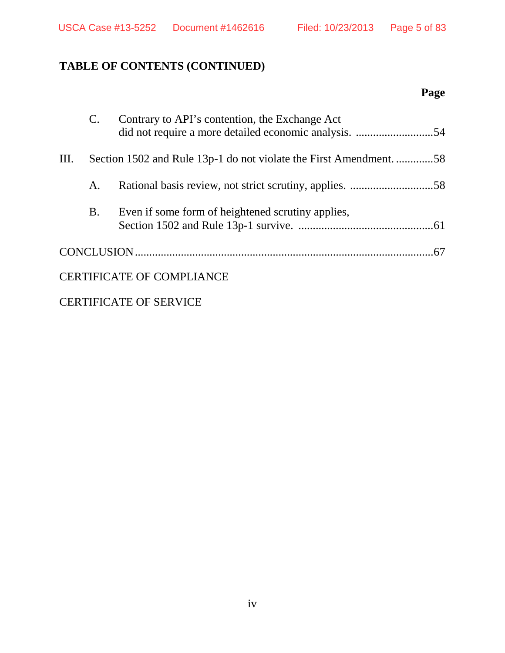# **TABLE OF CONTENTS (CONTINUED)**

# **Page**

|    |           | Contrary to API's contention, the Exchange Act                     |
|----|-----------|--------------------------------------------------------------------|
| Ш. |           | Section 1502 and Rule 13p-1 do not violate the First Amendment. 58 |
|    | А.        |                                                                    |
|    | <b>B.</b> | Even if some form of heightened scrutiny applies,                  |
|    |           |                                                                    |
|    |           | <b>CERTIFICATE OF COMPLIANCE</b>                                   |

CERTIFICATE OF SERVICE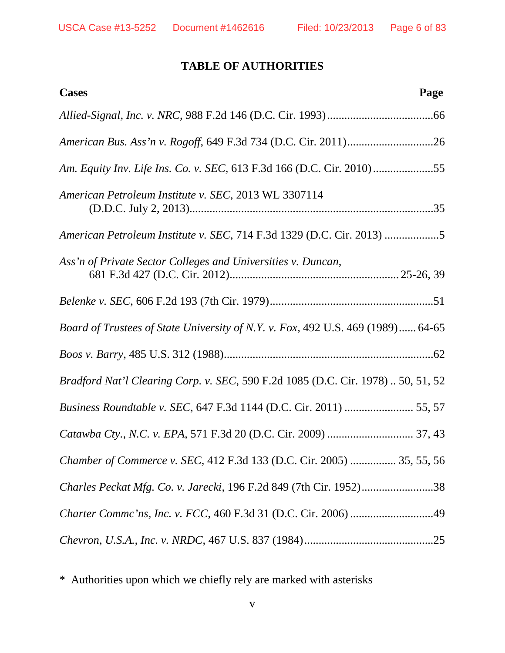# **TABLE OF AUTHORITIES**

| <b>Cases</b><br>Page                                                             |
|----------------------------------------------------------------------------------|
|                                                                                  |
|                                                                                  |
| Am. Equity Inv. Life Ins. Co. v. SEC, 613 F.3d 166 (D.C. Cir. 2010) 55           |
| American Petroleum Institute v. SEC, 2013 WL 3307114                             |
| American Petroleum Institute v. SEC, 714 F.3d 1329 (D.C. Cir. 2013) 5            |
| Ass'n of Private Sector Colleges and Universities v. Duncan,                     |
|                                                                                  |
| Board of Trustees of State University of N.Y. v. Fox, 492 U.S. 469 (1989) 64-65  |
|                                                                                  |
| Bradford Nat'l Clearing Corp. v. SEC, 590 F.2d 1085 (D.C. Cir. 1978)  50, 51, 52 |
|                                                                                  |
|                                                                                  |
| Chamber of Commerce v. SEC, 412 F.3d 133 (D.C. Cir. 2005)  35, 55, 56            |
| Charles Peckat Mfg. Co. v. Jarecki, 196 F.2d 849 (7th Cir. 1952)38               |
| Charter Commc'ns, Inc. v. FCC, 460 F.3d 31 (D.C. Cir. 2006) 49                   |
|                                                                                  |

\* Authorities upon which we chiefly rely are marked with asterisks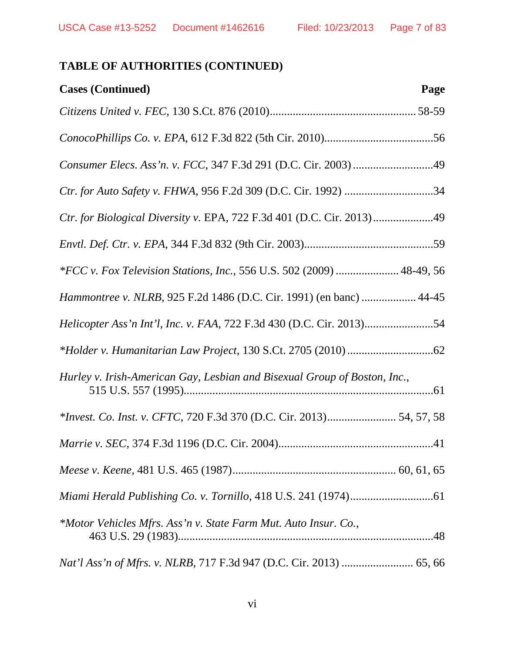| <b>Cases (Continued)</b><br>Page                                          |
|---------------------------------------------------------------------------|
|                                                                           |
|                                                                           |
| Consumer Elecs. Ass'n. v. FCC, 347 F.3d 291 (D.C. Cir. 2003) 49           |
| Ctr. for Auto Safety v. FHWA, 956 F.2d 309 (D.C. Cir. 1992) 34            |
| Ctr. for Biological Diversity v. EPA, 722 F.3d 401 (D.C. Cir. 2013)49     |
|                                                                           |
| *FCC v. Fox Television Stations, Inc., 556 U.S. 502 (2009)  48-49, 56     |
| Hammontree v. NLRB, 925 F.2d 1486 (D.C. Cir. 1991) (en banc)  44-45       |
|                                                                           |
|                                                                           |
| Hurley v. Irish-American Gay, Lesbian and Bisexual Group of Boston, Inc., |
| *Invest. Co. Inst. v. CFTC, 720 F.3d 370 (D.C. Cir. 2013) 54, 57, 58      |
|                                                                           |
|                                                                           |
|                                                                           |
| *Motor Vehicles Mfrs. Ass'n v. State Farm Mut. Auto Insur. Co.,           |
|                                                                           |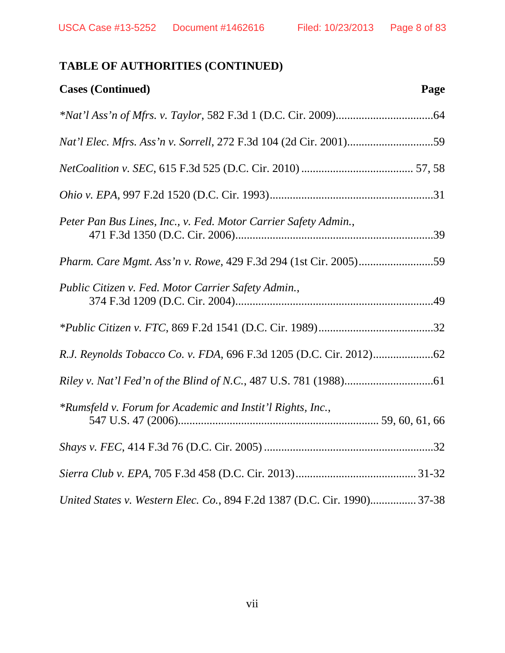| <b>Cases (Continued)</b><br>Page                                         |
|--------------------------------------------------------------------------|
|                                                                          |
| Nat'l Elec. Mfrs. Ass'n v. Sorrell, 272 F.3d 104 (2d Cir. 2001)59        |
|                                                                          |
|                                                                          |
| Peter Pan Bus Lines, Inc., v. Fed. Motor Carrier Safety Admin.,          |
|                                                                          |
| Public Citizen v. Fed. Motor Carrier Safety Admin.,                      |
|                                                                          |
|                                                                          |
|                                                                          |
| *Rumsfeld v. Forum for Academic and Instit'l Rights, Inc.,               |
|                                                                          |
|                                                                          |
| United States v. Western Elec. Co., 894 F.2d 1387 (D.C. Cir. 1990) 37-38 |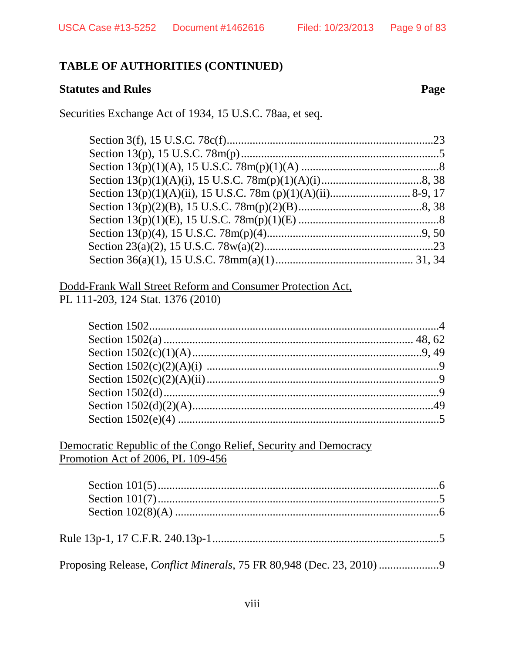## **Statutes and Rules**

## Securities Exchange Act of 1934, 15 U.S.C. 78aa, et seq.

## Dodd-Frank Wall Street Reform and Consumer Protection Act, PL 111-203, 124 Stat. 1376 (2010)

## Democratic Republic of the Congo Relief, Security and Democracy Promotion Act of 2006, PL 109-456

Page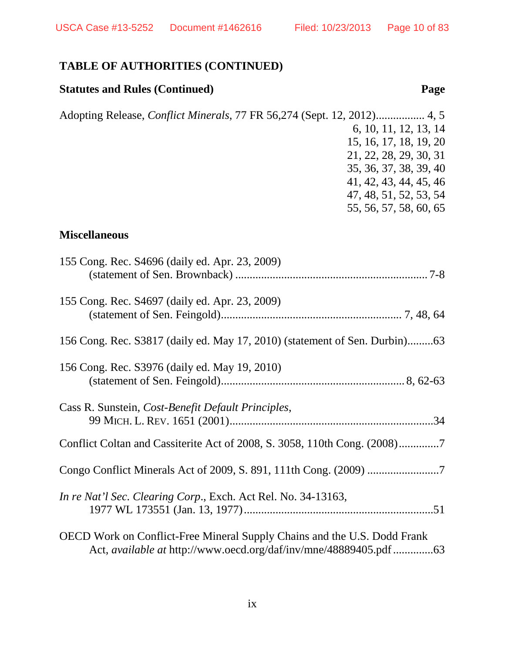## **Statutes and Rules (Continued) Page**

Adopting Release, *Conflict Minerals*, 77 FR 56,274 (Sept. 12, 2012)................. 4, 5 6, 10, 11, 12, 13, 14 15, 16, 17, 18, 19, 20 21, 22, 28, 29, 30, 31 35, 36, 37, 38, 39, 40 41, 42, 43, 44, 45, 46 47, 48, 51, 52, 53, 54 55, 56, 57, 58, 60, 65

## **Miscellaneous**

| 155 Cong. Rec. S4696 (daily ed. Apr. 23, 2009)                                                                                                              |
|-------------------------------------------------------------------------------------------------------------------------------------------------------------|
| 155 Cong. Rec. S4697 (daily ed. Apr. 23, 2009)                                                                                                              |
| 156 Cong. Rec. S3817 (daily ed. May 17, 2010) (statement of Sen. Durbin)63                                                                                  |
| 156 Cong. Rec. S3976 (daily ed. May 19, 2010)                                                                                                               |
| Cass R. Sunstein, Cost-Benefit Default Principles,                                                                                                          |
| Conflict Coltan and Cassiterite Act of 2008, S. 3058, 110th Cong. (2008)                                                                                    |
| Congo Conflict Minerals Act of 2009, S. 891, 111th Cong. (2009) 7                                                                                           |
| In re Nat'l Sec. Clearing Corp., Exch. Act Rel. No. 34-13163,                                                                                               |
| <b>OECD</b> Work on Conflict-Free Mineral Supply Chains and the U.S. Dodd Frank<br>Act, <i>available at</i> http://www.oecd.org/daf/inv/mne/48889405.pdf 63 |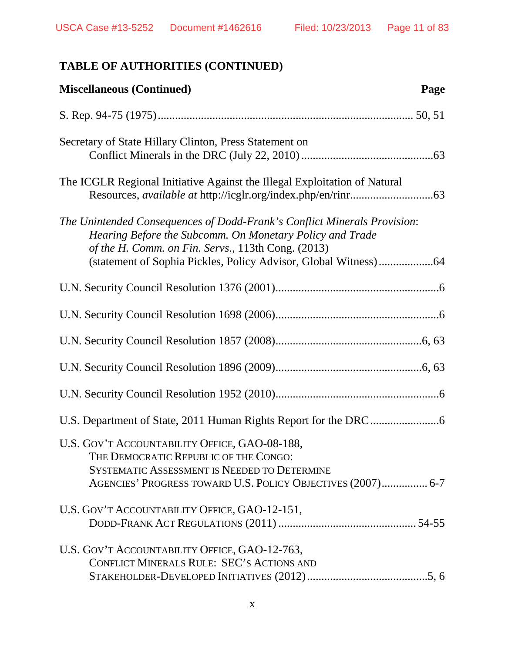| <b>Miscellaneous (Continued)</b><br>Page                                                                                                                                                                     |
|--------------------------------------------------------------------------------------------------------------------------------------------------------------------------------------------------------------|
|                                                                                                                                                                                                              |
| Secretary of State Hillary Clinton, Press Statement on                                                                                                                                                       |
| The ICGLR Regional Initiative Against the Illegal Exploitation of Natural                                                                                                                                    |
| The Unintended Consequences of Dodd-Frank's Conflict Minerals Provision:<br>Hearing Before the Subcomm. On Monetary Policy and Trade<br>of the H. Comm. on Fin. Servs., 113th Cong. (2013)                   |
|                                                                                                                                                                                                              |
|                                                                                                                                                                                                              |
|                                                                                                                                                                                                              |
|                                                                                                                                                                                                              |
|                                                                                                                                                                                                              |
|                                                                                                                                                                                                              |
| U.S. GOV'T ACCOUNTABILITY OFFICE, GAO-08-188,<br>THE DEMOCRATIC REPUBLIC OF THE CONGO:<br><b>SYSTEMATIC ASSESSMENT IS NEEDED TO DETERMINE</b><br>AGENCIES' PROGRESS TOWARD U.S. POLICY OBJECTIVES (2007) 6-7 |
| U.S. GOV'T ACCOUNTABILITY OFFICE, GAO-12-151,                                                                                                                                                                |
| U.S. GOV'T ACCOUNTABILITY OFFICE, GAO-12-763,<br><b>CONFLICT MINERALS RULE: SEC'S ACTIONS AND</b>                                                                                                            |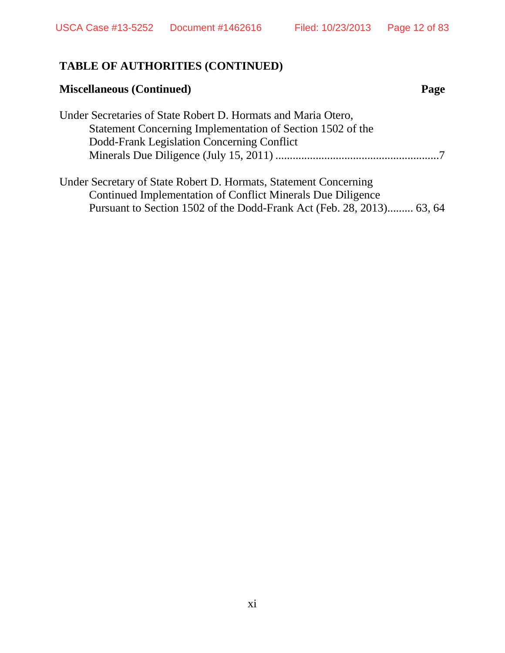# **Miscellaneous (Continued) Page**

| Under Secretaries of State Robert D. Hormats and Maria Otero, |  |
|---------------------------------------------------------------|--|
| Statement Concerning Implementation of Section 1502 of the    |  |
| Dodd-Frank Legislation Concerning Conflict                    |  |
|                                                               |  |

| Under Secretary of State Robert D. Hormats, Statement Concerning      |  |
|-----------------------------------------------------------------------|--|
| Continued Implementation of Conflict Minerals Due Diligence           |  |
| Pursuant to Section 1502 of the Dodd-Frank Act (Feb. 28, 2013) 63, 64 |  |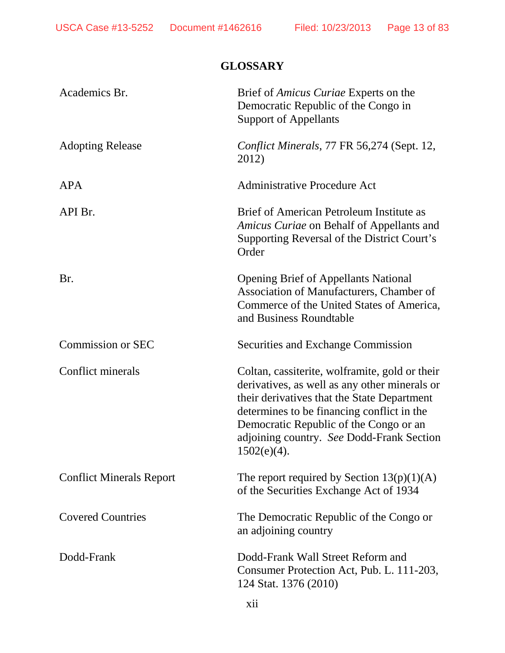# **GLOSSARY**

| Academics Br.                   | Brief of <i>Amicus Curiae</i> Experts on the<br>Democratic Republic of the Congo in<br><b>Support of Appellants</b>                                                                                                                                                                                   |
|---------------------------------|-------------------------------------------------------------------------------------------------------------------------------------------------------------------------------------------------------------------------------------------------------------------------------------------------------|
| <b>Adopting Release</b>         | Conflict Minerals, 77 FR 56,274 (Sept. 12,<br>2012)                                                                                                                                                                                                                                                   |
| <b>APA</b>                      | <b>Administrative Procedure Act</b>                                                                                                                                                                                                                                                                   |
| API Br.                         | Brief of American Petroleum Institute as<br>Amicus Curiae on Behalf of Appellants and<br>Supporting Reversal of the District Court's<br>Order                                                                                                                                                         |
| Br.                             | <b>Opening Brief of Appellants National</b><br>Association of Manufacturers, Chamber of<br>Commerce of the United States of America,<br>and Business Roundtable                                                                                                                                       |
| <b>Commission or SEC</b>        | <b>Securities and Exchange Commission</b>                                                                                                                                                                                                                                                             |
| Conflict minerals               | Coltan, cassiterite, wolframite, gold or their<br>derivatives, as well as any other minerals or<br>their derivatives that the State Department<br>determines to be financing conflict in the<br>Democratic Republic of the Congo or an<br>adjoining country. See Dodd-Frank Section<br>$1502(e)(4)$ . |
| <b>Conflict Minerals Report</b> | The report required by Section $13(p)(1)(A)$<br>of the Securities Exchange Act of 1934                                                                                                                                                                                                                |
| <b>Covered Countries</b>        | The Democratic Republic of the Congo or<br>an adjoining country                                                                                                                                                                                                                                       |
| Dodd-Frank                      | Dodd-Frank Wall Street Reform and<br>Consumer Protection Act, Pub. L. 111-203,<br>124 Stat. 1376 (2010)                                                                                                                                                                                               |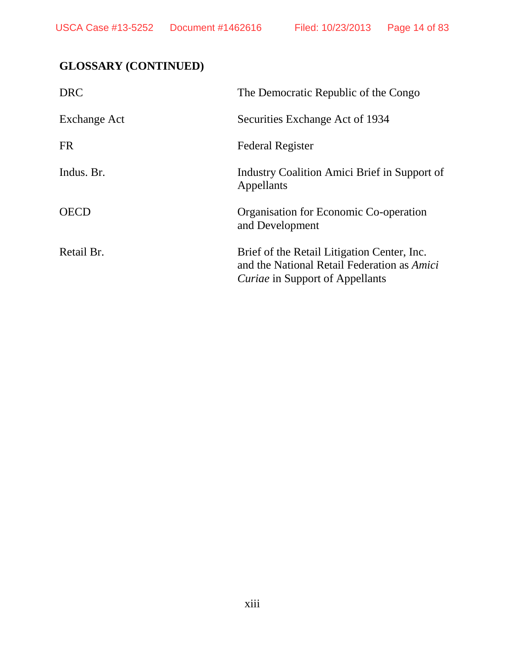# **GLOSSARY (CONTINUED)**

| <b>DRC</b>   | The Democratic Republic of the Congo                                                                                                        |
|--------------|---------------------------------------------------------------------------------------------------------------------------------------------|
| Exchange Act | Securities Exchange Act of 1934                                                                                                             |
| <b>FR</b>    | <b>Federal Register</b>                                                                                                                     |
| Indus. Br.   | Industry Coalition Amici Brief in Support of<br>Appellants                                                                                  |
| <b>OECD</b>  | Organisation for Economic Co-operation<br>and Development                                                                                   |
| Retail Br.   | Brief of the Retail Litigation Center, Inc.<br>and the National Retail Federation as <i>Amici</i><br><i>Curiae</i> in Support of Appellants |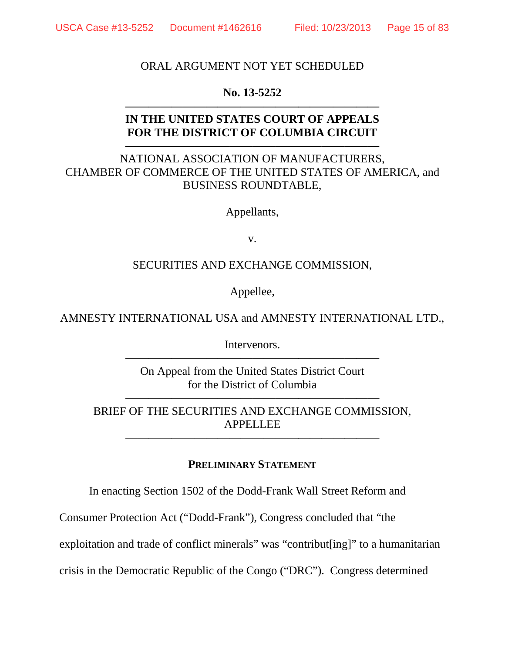## ORAL ARGUMENT NOT YET SCHEDULED

## **No. 13-5252 ——————————————————————**

## **IN THE UNITED STATES COURT OF APPEALS FOR THE DISTRICT OF COLUMBIA CIRCUIT**

**——————————————————————**

## NATIONAL ASSOCIATION OF MANUFACTURERS, CHAMBER OF COMMERCE OF THE UNITED STATES OF AMERICA, and BUSINESS ROUNDTABLE,

Appellants,

v.

## SECURITIES AND EXCHANGE COMMISSION,

Appellee,

## AMNESTY INTERNATIONAL USA and AMNESTY INTERNATIONAL LTD.,

Intervenors. ——————————————————————

On Appeal from the United States District Court for the District of Columbia

BRIEF OF THE SECURITIES AND EXCHANGE COMMISSION, APPELLEE

——————————————————————

——————————————————————

### **PRELIMINARY STATEMENT**

In enacting Section 1502 of the Dodd-Frank Wall Street Reform and

Consumer Protection Act ("Dodd-Frank"), Congress concluded that "the

exploitation and trade of conflict minerals" was "contribut[ing]" to a humanitarian

crisis in the Democratic Republic of the Congo ("DRC"). Congress determined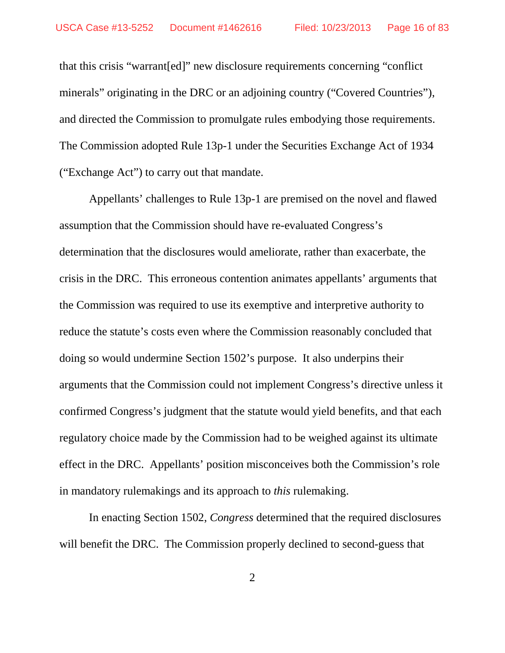that this crisis "warrant[ed]" new disclosure requirements concerning "conflict minerals" originating in the DRC or an adjoining country ("Covered Countries"), and directed the Commission to promulgate rules embodying those requirements. The Commission adopted Rule 13p-1 under the Securities Exchange Act of 1934 ("Exchange Act") to carry out that mandate.

Appellants' challenges to Rule 13p-1 are premised on the novel and flawed assumption that the Commission should have re-evaluated Congress's determination that the disclosures would ameliorate, rather than exacerbate, the crisis in the DRC. This erroneous contention animates appellants' arguments that the Commission was required to use its exemptive and interpretive authority to reduce the statute's costs even where the Commission reasonably concluded that doing so would undermine Section 1502's purpose. It also underpins their arguments that the Commission could not implement Congress's directive unless it confirmed Congress's judgment that the statute would yield benefits, and that each regulatory choice made by the Commission had to be weighed against its ultimate effect in the DRC. Appellants' position misconceives both the Commission's role in mandatory rulemakings and its approach to *this* rulemaking.

In enacting Section 1502, *Congress* determined that the required disclosures will benefit the DRC. The Commission properly declined to second-guess that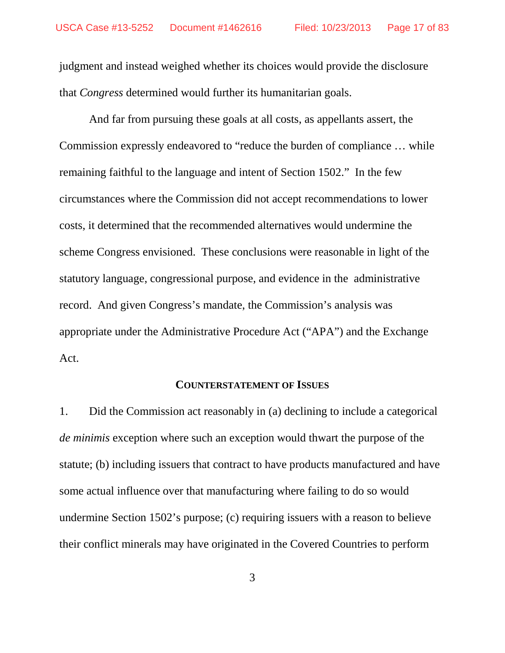judgment and instead weighed whether its choices would provide the disclosure that *Congress* determined would further its humanitarian goals.

And far from pursuing these goals at all costs, as appellants assert, the Commission expressly endeavored to "reduce the burden of compliance … while remaining faithful to the language and intent of Section 1502." In the few circumstances where the Commission did not accept recommendations to lower costs, it determined that the recommended alternatives would undermine the scheme Congress envisioned. These conclusions were reasonable in light of the statutory language, congressional purpose, and evidence in the administrative record. And given Congress's mandate, the Commission's analysis was appropriate under the Administrative Procedure Act ("APA") and the Exchange Act.

#### **COUNTERSTATEMENT OF ISSUES**

1. Did the Commission act reasonably in (a) declining to include a categorical *de minimis* exception where such an exception would thwart the purpose of the statute; (b) including issuers that contract to have products manufactured and have some actual influence over that manufacturing where failing to do so would undermine Section 1502's purpose; (c) requiring issuers with a reason to believe their conflict minerals may have originated in the Covered Countries to perform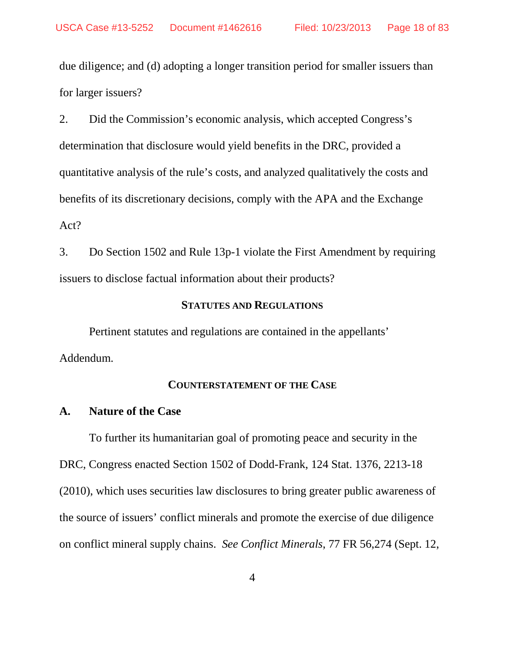due diligence; and (d) adopting a longer transition period for smaller issuers than for larger issuers?

2. Did the Commission's economic analysis, which accepted Congress's determination that disclosure would yield benefits in the DRC, provided a quantitative analysis of the rule's costs, and analyzed qualitatively the costs and benefits of its discretionary decisions, comply with the APA and the Exchange Act?

3. Do Section 1502 and Rule 13p-1 violate the First Amendment by requiring issuers to disclose factual information about their products?

## **STATUTES AND REGULATIONS**

Pertinent statutes and regulations are contained in the appellants' Addendum.

#### **COUNTERSTATEMENT OF THE CASE**

#### **A. Nature of the Case**

To further its humanitarian goal of promoting peace and security in the DRC, Congress enacted Section 1502 of Dodd-Frank, 124 Stat. 1376, 2213-18 (2010), which uses securities law disclosures to bring greater public awareness of the source of issuers' conflict minerals and promote the exercise of due diligence on conflict mineral supply chains. *See Conflict Minerals*, 77 FR 56,274 (Sept. 12,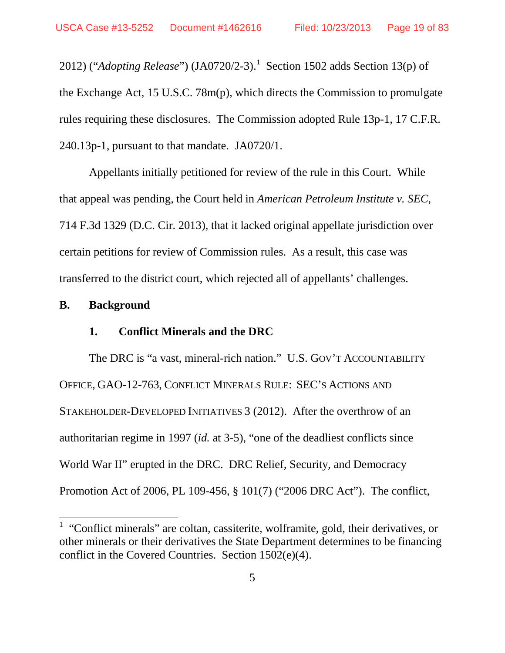20[1](#page-18-0)2) ("*Adopting Release*") (JA0720/2-3).<sup>1</sup> Section 1502 adds Section 13(p) of the Exchange Act, 15 U.S.C. 78m(p), which directs the Commission to promulgate rules requiring these disclosures. The Commission adopted Rule 13p-1, 17 C.F.R. 240.13p-1, pursuant to that mandate. JA0720/1.

Appellants initially petitioned for review of the rule in this Court. While that appeal was pending, the Court held in *American Petroleum Institute v. SEC*, 714 F.3d 1329 (D.C. Cir. 2013), that it lacked original appellate jurisdiction over certain petitions for review of Commission rules. As a result, this case was transferred to the district court, which rejected all of appellants' challenges.

#### **B. Background**

### **1. Conflict Minerals and the DRC**

The DRC is "a vast, mineral-rich nation." U.S. GOV'T ACCOUNTABILITY OFFICE, GAO-12-763, CONFLICT MINERALS RULE: SEC'S ACTIONS AND STAKEHOLDER-DEVELOPED INITIATIVES 3 (2012). After the overthrow of an authoritarian regime in 1997 (*id.* at 3-5), "one of the deadliest conflicts since World War II" erupted in the DRC. DRC Relief, Security, and Democracy Promotion Act of 2006, PL 109-456, § 101(7) ("2006 DRC Act"). The conflict,

<span id="page-18-0"></span> $1$  "Conflict minerals" are coltan, cassiterite, wolframite, gold, their derivatives, or other minerals or their derivatives the State Department determines to be financing conflict in the Covered Countries. Section 1502(e)(4).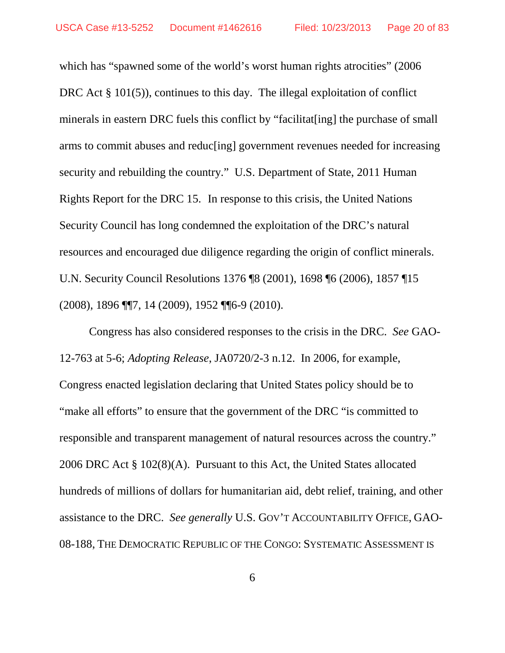which has "spawned some of the world's worst human rights atrocities" (2006) DRC Act § 101(5)), continues to this day. The illegal exploitation of conflict minerals in eastern DRC fuels this conflict by "facilitat[ing] the purchase of small arms to commit abuses and reduc[ing] government revenues needed for increasing security and rebuilding the country." U.S. Department of State, 2011 Human Rights Report for the DRC 15. In response to this crisis, the United Nations Security Council has long condemned the exploitation of the DRC's natural resources and encouraged due diligence regarding the origin of conflict minerals. U.N. Security Council Resolutions 1376 ¶8 (2001), 1698 ¶6 (2006), 1857 ¶15 (2008), 1896 ¶¶7, 14 (2009), 1952 ¶¶6-9 (2010).

Congress has also considered responses to the crisis in the DRC. *See* GAO-12-763 at 5-6; *Adopting Release*, JA0720/2-3 n.12. In 2006, for example, Congress enacted legislation declaring that United States policy should be to "make all efforts" to ensure that the government of the DRC "is committed to responsible and transparent management of natural resources across the country." 2006 DRC Act § 102(8)(A). Pursuant to this Act, the United States allocated hundreds of millions of dollars for humanitarian aid, debt relief, training, and other assistance to the DRC. *See generally* U.S. GOV'T ACCOUNTABILITY OFFICE, GAO-08-188, THE DEMOCRATIC REPUBLIC OF THE CONGO: SYSTEMATIC ASSESSMENT IS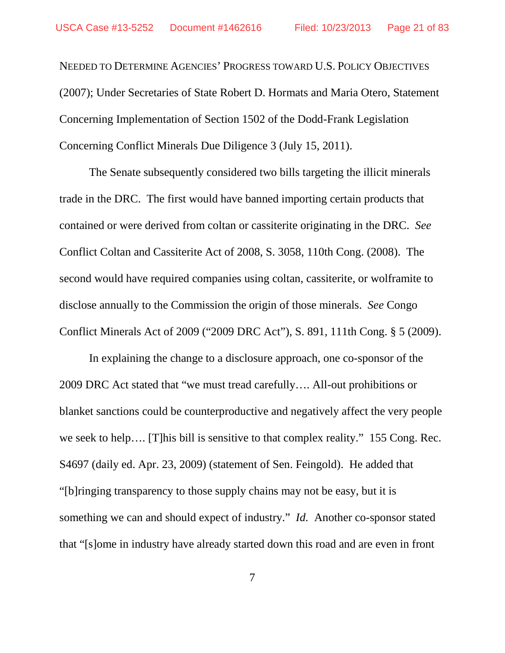NEEDED TO DETERMINE AGENCIES' PROGRESS TOWARD U.S. POLICY OBJECTIVES (2007); Under Secretaries of State Robert D. Hormats and Maria Otero, Statement Concerning Implementation of Section 1502 of the Dodd-Frank Legislation Concerning Conflict Minerals Due Diligence 3 (July 15, 2011).

The Senate subsequently considered two bills targeting the illicit minerals trade in the DRC. The first would have banned importing certain products that contained or were derived from coltan or cassiterite originating in the DRC. *See* Conflict Coltan and Cassiterite Act of 2008, S. 3058, 110th Cong. (2008). The second would have required companies using coltan, cassiterite, or wolframite to disclose annually to the Commission the origin of those minerals. *See* Congo Conflict Minerals Act of 2009 ("2009 DRC Act"), S. 891, 111th Cong. § 5 (2009).

In explaining the change to a disclosure approach, one co-sponsor of the 2009 DRC Act stated that "we must tread carefully…. All-out prohibitions or blanket sanctions could be counterproductive and negatively affect the very people we seek to help…. [T]his bill is sensitive to that complex reality." 155 Cong. Rec. S4697 (daily ed. Apr. 23, 2009) (statement of Sen. Feingold). He added that "[b]ringing transparency to those supply chains may not be easy, but it is something we can and should expect of industry." *Id.* Another co-sponsor stated that "[s]ome in industry have already started down this road and are even in front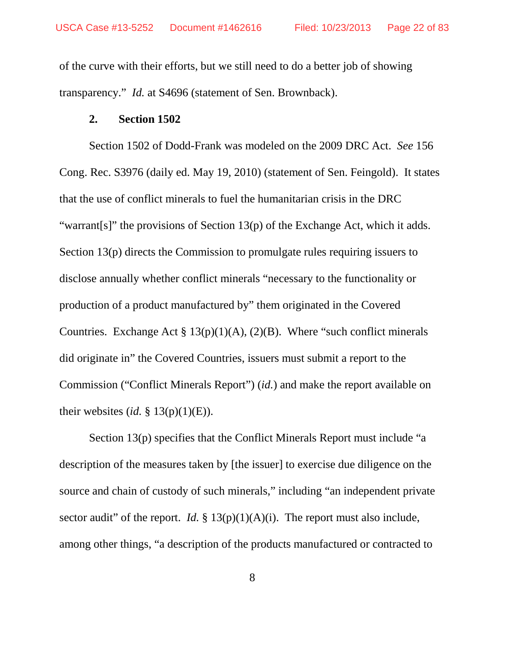of the curve with their efforts, but we still need to do a better job of showing transparency." *Id.* at S4696 (statement of Sen. Brownback).

#### **2. Section 1502**

Section 1502 of Dodd-Frank was modeled on the 2009 DRC Act. *See* 156 Cong. Rec. S3976 (daily ed. May 19, 2010) (statement of Sen. Feingold). It states that the use of conflict minerals to fuel the humanitarian crisis in the DRC "warrant[s]" the provisions of Section 13(p) of the Exchange Act, which it adds. Section 13(p) directs the Commission to promulgate rules requiring issuers to disclose annually whether conflict minerals "necessary to the functionality or production of a product manufactured by" them originated in the Covered Countries. Exchange Act  $\S 13(p)(1)(A)$ , (2)(B). Where "such conflict minerals did originate in" the Covered Countries, issuers must submit a report to the Commission ("Conflict Minerals Report") (*id.*) and make the report available on their websites (*id.* § 13(p)(1)(E)).

Section 13(p) specifies that the Conflict Minerals Report must include "a description of the measures taken by [the issuer] to exercise due diligence on the source and chain of custody of such minerals," including "an independent private sector audit" of the report. *Id.*  $\S 13(p)(1)(A)(i)$ . The report must also include, among other things, "a description of the products manufactured or contracted to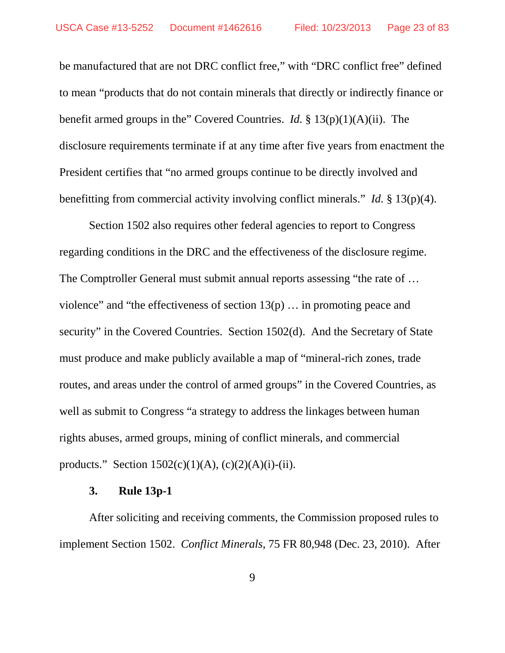be manufactured that are not DRC conflict free," with "DRC conflict free" defined to mean "products that do not contain minerals that directly or indirectly finance or benefit armed groups in the" Covered Countries. *Id.* § 13(p)(1)(A)(ii). The disclosure requirements terminate if at any time after five years from enactment the President certifies that "no armed groups continue to be directly involved and benefitting from commercial activity involving conflict minerals." *Id.* § 13(p)(4).

Section 1502 also requires other federal agencies to report to Congress regarding conditions in the DRC and the effectiveness of the disclosure regime. The Comptroller General must submit annual reports assessing "the rate of … violence" and "the effectiveness of section  $13(p)$  ... in promoting peace and security" in the Covered Countries. Section 1502(d). And the Secretary of State must produce and make publicly available a map of "mineral-rich zones, trade routes, and areas under the control of armed groups" in the Covered Countries, as well as submit to Congress "a strategy to address the linkages between human rights abuses, armed groups, mining of conflict minerals, and commercial products." Section  $1502(c)(1)(A)$ ,  $(c)(2)(A)(i)-(ii)$ .

#### **3. Rule 13p-1**

After soliciting and receiving comments, the Commission proposed rules to implement Section 1502. *Conflict Minerals*, 75 FR 80,948 (Dec. 23, 2010). After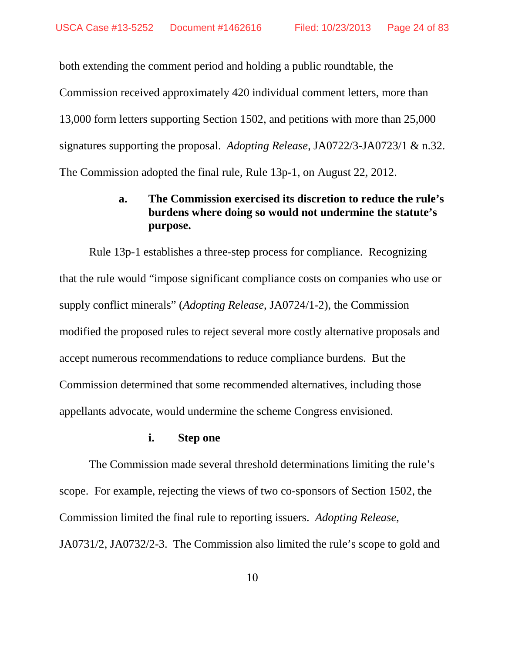both extending the comment period and holding a public roundtable, the Commission received approximately 420 individual comment letters, more than 13,000 form letters supporting Section 1502, and petitions with more than 25,000 signatures supporting the proposal. *Adopting Release*, JA0722/3-JA0723/1 & n.32. The Commission adopted the final rule, Rule 13p-1, on August 22, 2012.

## **a. The Commission exercised its discretion to reduce the rule's burdens where doing so would not undermine the statute's purpose.**

Rule 13p-1 establishes a three-step process for compliance. Recognizing that the rule would "impose significant compliance costs on companies who use or supply conflict minerals" (*Adopting Release*, JA0724/1-2), the Commission modified the proposed rules to reject several more costly alternative proposals and accept numerous recommendations to reduce compliance burdens. But the Commission determined that some recommended alternatives, including those appellants advocate, would undermine the scheme Congress envisioned.

#### **i. Step one**

The Commission made several threshold determinations limiting the rule's scope. For example, rejecting the views of two co-sponsors of Section 1502, the Commission limited the final rule to reporting issuers. *Adopting Release*, JA0731/2, JA0732/2-3. The Commission also limited the rule's scope to gold and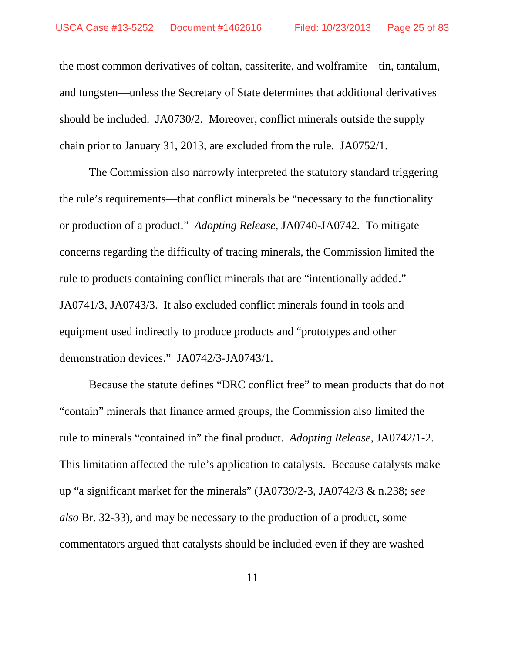the most common derivatives of coltan, cassiterite, and wolframite—tin, tantalum, and tungsten—unless the Secretary of State determines that additional derivatives should be included. JA0730/2. Moreover, conflict minerals outside the supply chain prior to January 31, 2013, are excluded from the rule. JA0752/1.

The Commission also narrowly interpreted the statutory standard triggering the rule's requirements—that conflict minerals be "necessary to the functionality or production of a product." *Adopting Release*, JA0740-JA0742. To mitigate concerns regarding the difficulty of tracing minerals, the Commission limited the rule to products containing conflict minerals that are "intentionally added." JA0741/3, JA0743/3. It also excluded conflict minerals found in tools and equipment used indirectly to produce products and "prototypes and other demonstration devices." JA0742/3-JA0743/1.

Because the statute defines "DRC conflict free" to mean products that do not "contain" minerals that finance armed groups, the Commission also limited the rule to minerals "contained in" the final product. *Adopting Release*, JA0742/1-2. This limitation affected the rule's application to catalysts. Because catalysts make up "a significant market for the minerals" (JA0739/2-3, JA0742/3 & n.238; *see also* Br. 32-33), and may be necessary to the production of a product, some commentators argued that catalysts should be included even if they are washed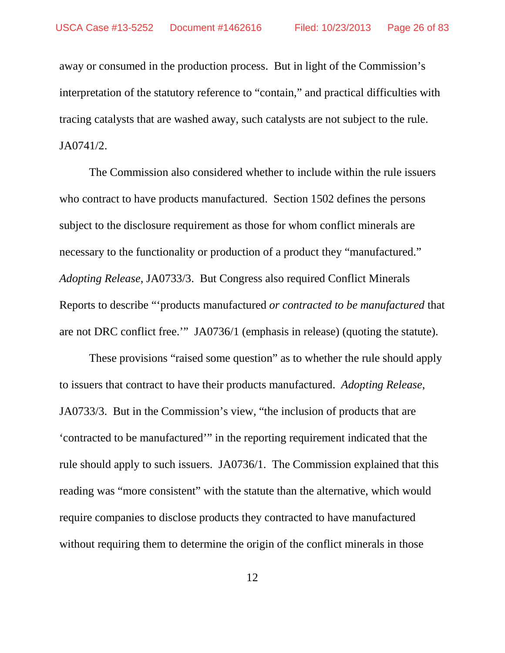away or consumed in the production process. But in light of the Commission's interpretation of the statutory reference to "contain," and practical difficulties with tracing catalysts that are washed away, such catalysts are not subject to the rule. JA0741/2.

The Commission also considered whether to include within the rule issuers who contract to have products manufactured. Section 1502 defines the persons subject to the disclosure requirement as those for whom conflict minerals are necessary to the functionality or production of a product they "manufactured." *Adopting Release*, JA0733/3. But Congress also required Conflict Minerals Reports to describe "'products manufactured *or contracted to be manufactured* that are not DRC conflict free.'" JA0736/1 (emphasis in release) (quoting the statute).

These provisions "raised some question" as to whether the rule should apply to issuers that contract to have their products manufactured. *Adopting Release*, JA0733/3. But in the Commission's view, "the inclusion of products that are 'contracted to be manufactured'" in the reporting requirement indicated that the rule should apply to such issuers. JA0736/1.The Commission explained that this reading was "more consistent" with the statute than the alternative, which would require companies to disclose products they contracted to have manufactured without requiring them to determine the origin of the conflict minerals in those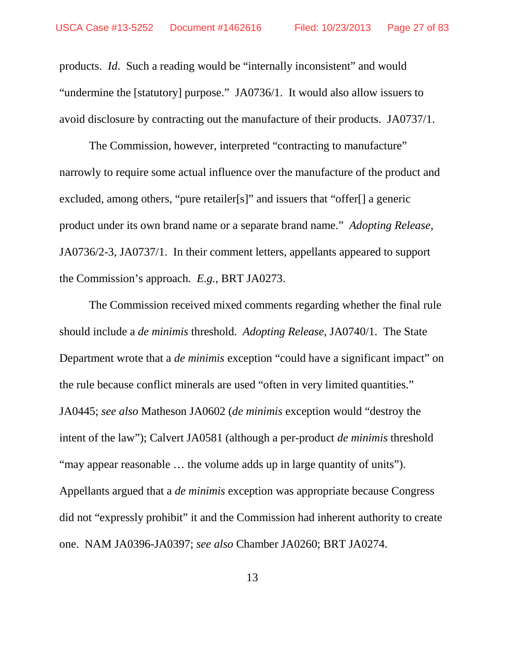products. *Id*. Such a reading would be "internally inconsistent" and would "undermine the [statutory] purpose." JA0736/1. It would also allow issuers to avoid disclosure by contracting out the manufacture of their products. JA0737/1.

The Commission, however, interpreted "contracting to manufacture" narrowly to require some actual influence over the manufacture of the product and excluded, among others, "pure retailer[s]" and issuers that "offer[] a generic product under its own brand name or a separate brand name." *Adopting Release*, JA0736/2-3, JA0737/1. In their comment letters, appellants appeared to support the Commission's approach. *E.g.*, BRT JA0273.

The Commission received mixed comments regarding whether the final rule should include a *de minimis* threshold. *Adopting Release*, JA0740/1. The State Department wrote that a *de minimis* exception "could have a significant impact" on the rule because conflict minerals are used "often in very limited quantities." JA0445; *see also* Matheson JA0602 (*de minimis* exception would "destroy the intent of the law"); Calvert JA0581 (although a per-product *de minimis* threshold "may appear reasonable … the volume adds up in large quantity of units"). Appellants argued that a *de minimis* exception was appropriate because Congress did not "expressly prohibit" it and the Commission had inherent authority to create one. NAM JA0396-JA0397; *see also* Chamber JA0260; BRT JA0274.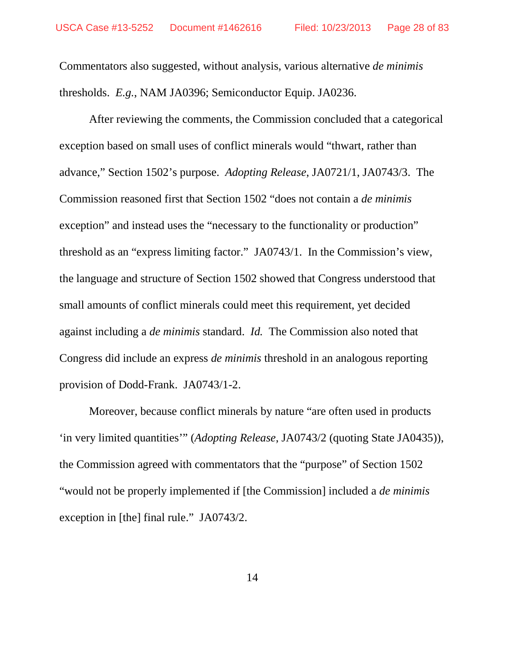Commentators also suggested, without analysis, various alternative *de minimis* thresholds. *E.g.*, NAM JA0396; Semiconductor Equip. JA0236.

After reviewing the comments, the Commission concluded that a categorical exception based on small uses of conflict minerals would "thwart, rather than advance," Section 1502's purpose. *Adopting Release*, JA0721/1, JA0743/3. The Commission reasoned first that Section 1502 "does not contain a *de minimis*  exception" and instead uses the "necessary to the functionality or production" threshold as an "express limiting factor." JA0743/1. In the Commission's view, the language and structure of Section 1502 showed that Congress understood that small amounts of conflict minerals could meet this requirement, yet decided against including a *de minimis* standard. *Id.* The Commission also noted that Congress did include an express *de minimis* threshold in an analogous reporting provision of Dodd-Frank. JA0743/1-2.

Moreover, because conflict minerals by nature "are often used in products 'in very limited quantities'" (*Adopting Release*, JA0743/2 (quoting State JA0435)), the Commission agreed with commentators that the "purpose" of Section 1502 "would not be properly implemented if [the Commission] included a *de minimis* exception in [the] final rule." JA0743/2.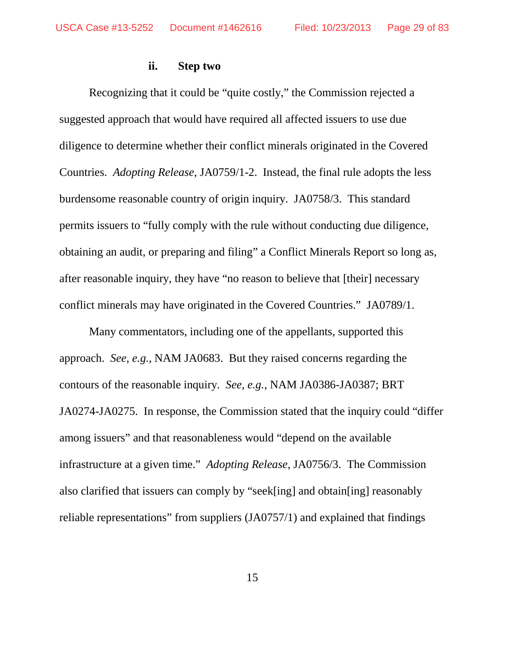#### **ii. Step two**

Recognizing that it could be "quite costly," the Commission rejected a suggested approach that would have required all affected issuers to use due diligence to determine whether their conflict minerals originated in the Covered Countries. *Adopting Release*, JA0759/1-2. Instead, the final rule adopts the less burdensome reasonable country of origin inquiry. JA0758/3. This standard permits issuers to "fully comply with the rule without conducting due diligence, obtaining an audit, or preparing and filing" a Conflict Minerals Report so long as, after reasonable inquiry, they have "no reason to believe that [their] necessary conflict minerals may have originated in the Covered Countries." JA0789/1.

Many commentators, including one of the appellants, supported this approach. *See, e.g.*, NAM JA0683. But they raised concerns regarding the contours of the reasonable inquiry. *See, e.g.*, NAM JA0386-JA0387; BRT JA0274-JA0275. In response, the Commission stated that the inquiry could "differ among issuers" and that reasonableness would "depend on the available infrastructure at a given time." *Adopting Release*, JA0756/3. The Commission also clarified that issuers can comply by "seek[ing] and obtain[ing] reasonably reliable representations" from suppliers (JA0757/1) and explained that findings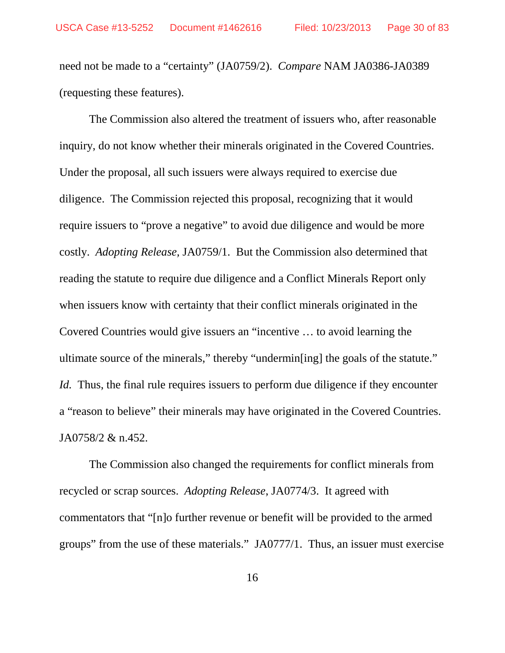need not be made to a "certainty" (JA0759/2). *Compare* NAM JA0386-JA0389 (requesting these features).

The Commission also altered the treatment of issuers who, after reasonable inquiry, do not know whether their minerals originated in the Covered Countries. Under the proposal, all such issuers were always required to exercise due diligence. The Commission rejected this proposal, recognizing that it would require issuers to "prove a negative" to avoid due diligence and would be more costly. *Adopting Release,* JA0759/1. But the Commission also determined that reading the statute to require due diligence and a Conflict Minerals Report only when issuers know with certainty that their conflict minerals originated in the Covered Countries would give issuers an "incentive … to avoid learning the ultimate source of the minerals," thereby "undermin[ing] the goals of the statute." *Id.* Thus, the final rule requires issuers to perform due diligence if they encounter a "reason to believe" their minerals may have originated in the Covered Countries. JA0758/2 & n.452.

The Commission also changed the requirements for conflict minerals from recycled or scrap sources. *Adopting Release*, JA0774/3. It agreed with commentators that "[n]o further revenue or benefit will be provided to the armed groups" from the use of these materials." JA0777/1. Thus, an issuer must exercise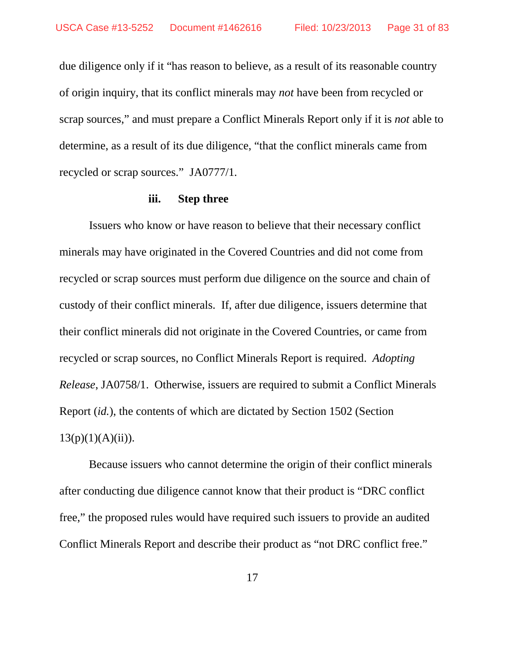due diligence only if it "has reason to believe, as a result of its reasonable country of origin inquiry, that its conflict minerals may *not* have been from recycled or scrap sources," and must prepare a Conflict Minerals Report only if it is *not* able to determine, as a result of its due diligence, "that the conflict minerals came from recycled or scrap sources." JA0777/1*.*

#### **iii. Step three**

Issuers who know or have reason to believe that their necessary conflict minerals may have originated in the Covered Countries and did not come from recycled or scrap sources must perform due diligence on the source and chain of custody of their conflict minerals. If, after due diligence, issuers determine that their conflict minerals did not originate in the Covered Countries, or came from recycled or scrap sources, no Conflict Minerals Report is required. *Adopting Release*, JA0758/1. Otherwise, issuers are required to submit a Conflict Minerals Report (*id.*), the contents of which are dictated by Section 1502 (Section  $13(p)(1)(A)(ii)$ ).

Because issuers who cannot determine the origin of their conflict minerals after conducting due diligence cannot know that their product is "DRC conflict free," the proposed rules would have required such issuers to provide an audited Conflict Minerals Report and describe their product as "not DRC conflict free."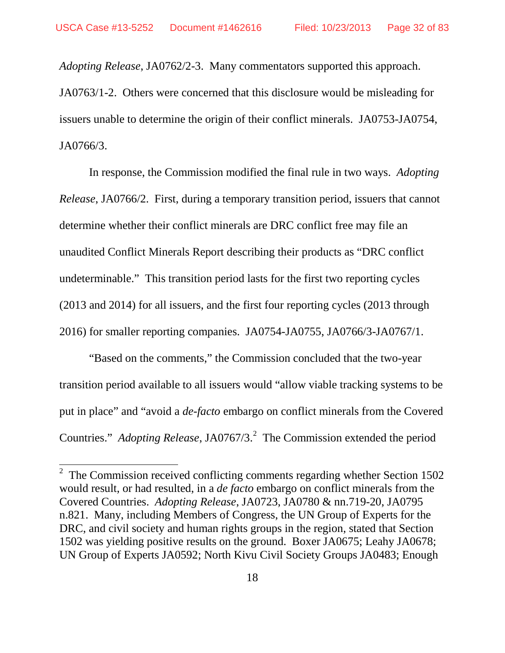*Adopting Release*, JA0762/2-3. Many commentators supported this approach.

JA0763/1-2. Others were concerned that this disclosure would be misleading for issuers unable to determine the origin of their conflict minerals. JA0753-JA0754, JA0766/3.

In response, the Commission modified the final rule in two ways. *Adopting Release*, JA0766/2. First, during a temporary transition period, issuers that cannot determine whether their conflict minerals are DRC conflict free may file an unaudited Conflict Minerals Report describing their products as "DRC conflict undeterminable." This transition period lasts for the first two reporting cycles (2013 and 2014) for all issuers, and the first four reporting cycles (2013 through 2016) for smaller reporting companies. JA0754-JA0755, JA0766/3-JA0767/1.

"Based on the comments," the Commission concluded that the two-year transition period available to all issuers would "allow viable tracking systems to be put in place" and "avoid a *de-facto* embargo on conflict minerals from the Covered Countries." *Adopting Release*, JA0767/3. [2](#page-31-0) The Commission extended the period

<span id="page-31-0"></span><sup>&</sup>lt;sup>2</sup> The Commission received conflicting comments regarding whether Section 1502 would result, or had resulted, in a *de facto* embargo on conflict minerals from the Covered Countries. *Adopting Release*, JA0723, JA0780 & nn.719-20, JA0795 n.821. Many, including Members of Congress, the UN Group of Experts for the DRC, and civil society and human rights groups in the region, stated that Section 1502 was yielding positive results on the ground. Boxer JA0675; Leahy JA0678; UN Group of Experts JA0592; North Kivu Civil Society Groups JA0483; Enough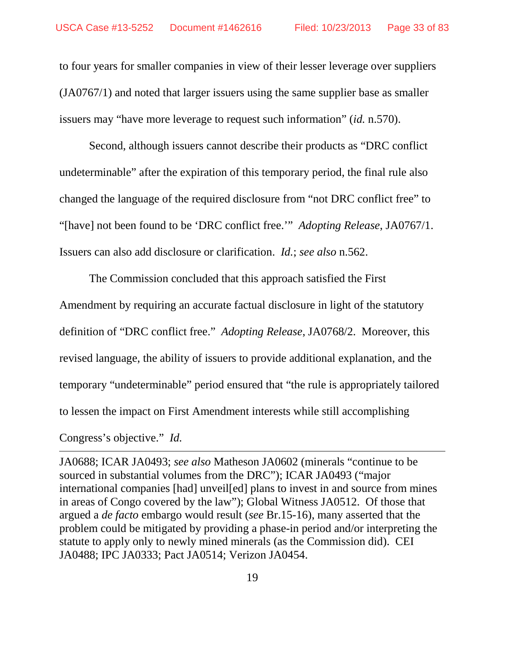to four years for smaller companies in view of their lesser leverage over suppliers (JA0767/1) and noted that larger issuers using the same supplier base as smaller issuers may "have more leverage to request such information" (*id.* n.570).

Second, although issuers cannot describe their products as "DRC conflict undeterminable" after the expiration of this temporary period, the final rule also changed the language of the required disclosure from "not DRC conflict free" to "[have] not been found to be 'DRC conflict free.'" *Adopting Release*, JA0767/1. Issuers can also add disclosure or clarification. *Id.*; *see also* n.562.

The Commission concluded that this approach satisfied the First Amendment by requiring an accurate factual disclosure in light of the statutory definition of "DRC conflict free." *Adopting Release*, JA0768/2. Moreover, this revised language, the ability of issuers to provide additional explanation, and the temporary "undeterminable" period ensured that "the rule is appropriately tailored to lessen the impact on First Amendment interests while still accomplishing Congress's objective." *Id.*

JA0688; ICAR JA0493; *see also* Matheson JA0602 (minerals "continue to be sourced in substantial volumes from the DRC"); ICAR JA0493 ("major international companies [had] unveil[ed] plans to invest in and source from mines in areas of Congo covered by the law"); Global Witness JA0512. Of those that argued a *de facto* embargo would result (*see* Br.15-16), many asserted that the problem could be mitigated by providing a phase-in period and/or interpreting the statute to apply only to newly mined minerals (as the Commission did). CEI JA0488; IPC JA0333; Pact JA0514; Verizon JA0454.

 $\overline{a}$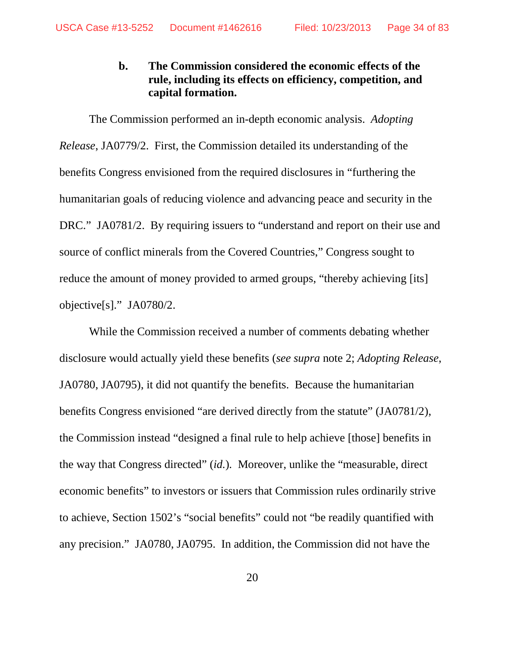## **b. The Commission considered the economic effects of the rule, including its effects on efficiency, competition, and capital formation.**

The Commission performed an in-depth economic analysis. *Adopting Release*, JA0779/2. First, the Commission detailed its understanding of the benefits Congress envisioned from the required disclosures in "furthering the humanitarian goals of reducing violence and advancing peace and security in the DRC." JA0781/2. By requiring issuers to "understand and report on their use and source of conflict minerals from the Covered Countries," Congress sought to reduce the amount of money provided to armed groups, "thereby achieving [its] objective[s]." JA0780/2.

While the Commission received a number of comments debating whether disclosure would actually yield these benefits (*see supra* note 2; *Adopting Release*, JA0780, JA0795), it did not quantify the benefits. Because the humanitarian benefits Congress envisioned "are derived directly from the statute" (JA0781/2), the Commission instead "designed a final rule to help achieve [those] benefits in the way that Congress directed" (*id.*)*.* Moreover, unlike the "measurable, direct economic benefits" to investors or issuers that Commission rules ordinarily strive to achieve, Section 1502's "social benefits" could not "be readily quantified with any precision." JA0780, JA0795. In addition, the Commission did not have the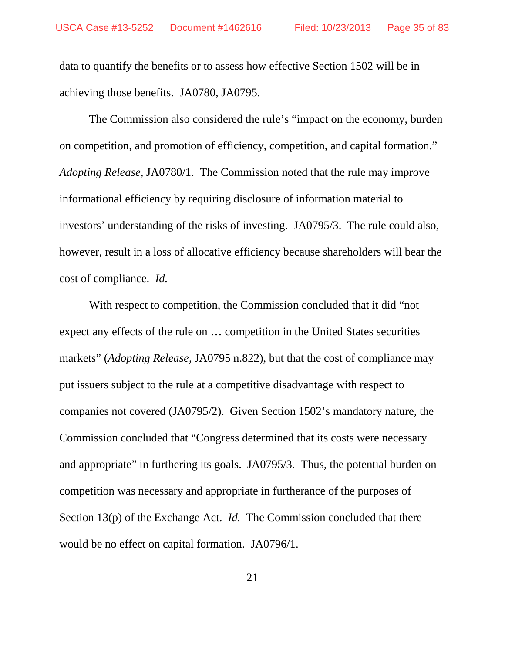data to quantify the benefits or to assess how effective Section 1502 will be in achieving those benefits. JA0780, JA0795.

The Commission also considered the rule's "impact on the economy, burden on competition, and promotion of efficiency, competition, and capital formation." *Adopting Release*, JA0780/1. The Commission noted that the rule may improve informational efficiency by requiring disclosure of information material to investors' understanding of the risks of investing. JA0795/3. The rule could also, however, result in a loss of allocative efficiency because shareholders will bear the cost of compliance. *Id.*

With respect to competition, the Commission concluded that it did "not expect any effects of the rule on … competition in the United States securities markets" (*Adopting Release*, JA0795 n.822), but that the cost of compliance may put issuers subject to the rule at a competitive disadvantage with respect to companies not covered (JA0795/2). Given Section 1502's mandatory nature, the Commission concluded that "Congress determined that its costs were necessary and appropriate" in furthering its goals. JA0795/3. Thus, the potential burden on competition was necessary and appropriate in furtherance of the purposes of Section 13(p) of the Exchange Act. *Id.* The Commission concluded that there would be no effect on capital formation. JA0796/1.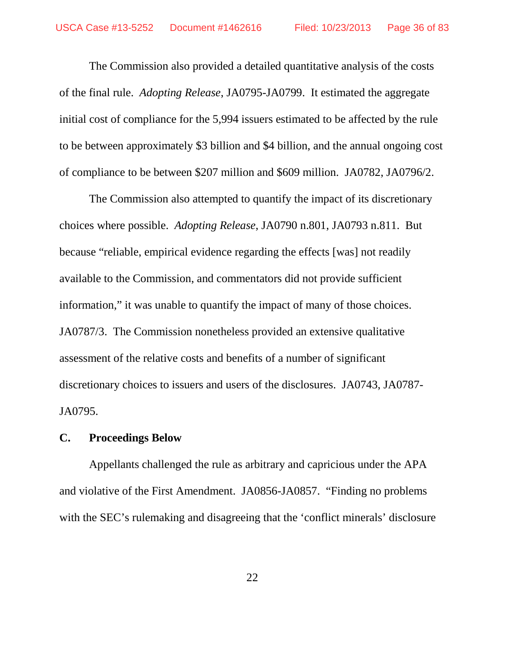The Commission also provided a detailed quantitative analysis of the costs of the final rule. *Adopting Release*, JA0795-JA0799. It estimated the aggregate initial cost of compliance for the 5,994 issuers estimated to be affected by the rule to be between approximately \$3 billion and \$4 billion, and the annual ongoing cost of compliance to be between \$207 million and \$609 million. JA0782, JA0796/2.

The Commission also attempted to quantify the impact of its discretionary choices where possible. *Adopting Release*, JA0790 n.801, JA0793 n.811. But because "reliable, empirical evidence regarding the effects [was] not readily available to the Commission, and commentators did not provide sufficient information," it was unable to quantify the impact of many of those choices. JA0787/3. The Commission nonetheless provided an extensive qualitative assessment of the relative costs and benefits of a number of significant discretionary choices to issuers and users of the disclosures. JA0743, JA0787- JA0795.

## **C. Proceedings Below**

Appellants challenged the rule as arbitrary and capricious under the APA and violative of the First Amendment. JA0856-JA0857. "Finding no problems with the SEC's rulemaking and disagreeing that the 'conflict minerals' disclosure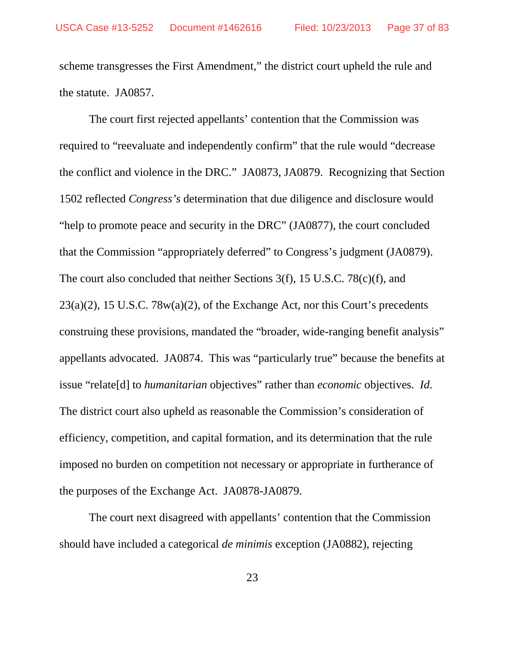scheme transgresses the First Amendment," the district court upheld the rule and the statute. JA0857.

The court first rejected appellants' contention that the Commission was required to "reevaluate and independently confirm" that the rule would "decrease the conflict and violence in the DRC." JA0873, JA0879. Recognizing that Section 1502 reflected *Congress's* determination that due diligence and disclosure would "help to promote peace and security in the DRC" (JA0877), the court concluded that the Commission "appropriately deferred" to Congress's judgment (JA0879). The court also concluded that neither Sections 3(f), 15 U.S.C. 78(c)(f), and  $23(a)(2)$ , 15 U.S.C. 78 $w(a)(2)$ , of the Exchange Act, nor this Court's precedents construing these provisions, mandated the "broader, wide-ranging benefit analysis" appellants advocated. JA0874. This was "particularly true" because the benefits at issue "relate[d] to *humanitarian* objectives" rather than *economic* objectives. *Id*. The district court also upheld as reasonable the Commission's consideration of efficiency, competition, and capital formation, and its determination that the rule imposed no burden on competition not necessary or appropriate in furtherance of the purposes of the Exchange Act. JA0878-JA0879.

The court next disagreed with appellants' contention that the Commission should have included a categorical *de minimis* exception (JA0882), rejecting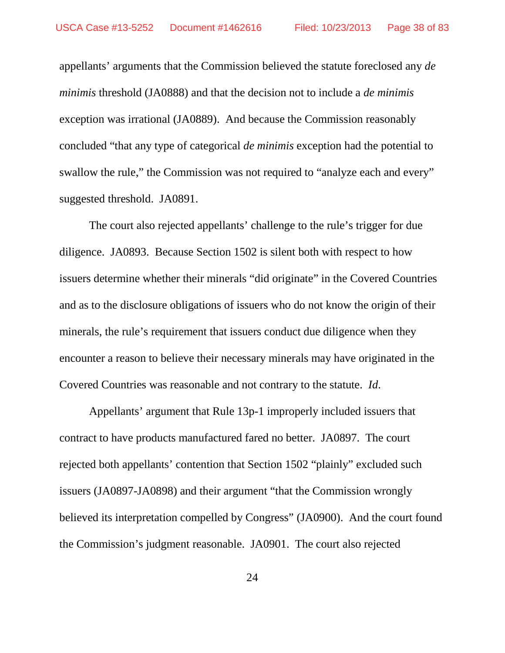appellants' arguments that the Commission believed the statute foreclosed any *de minimis* threshold (JA0888) and that the decision not to include a *de minimis* exception was irrational (JA0889). And because the Commission reasonably concluded "that any type of categorical *de minimis* exception had the potential to swallow the rule," the Commission was not required to "analyze each and every" suggested threshold. JA0891.

The court also rejected appellants' challenge to the rule's trigger for due diligence. JA0893. Because Section 1502 is silent both with respect to how issuers determine whether their minerals "did originate" in the Covered Countries and as to the disclosure obligations of issuers who do not know the origin of their minerals, the rule's requirement that issuers conduct due diligence when they encounter a reason to believe their necessary minerals may have originated in the Covered Countries was reasonable and not contrary to the statute. *Id*.

Appellants' argument that Rule 13p-1 improperly included issuers that contract to have products manufactured fared no better. JA0897. The court rejected both appellants' contention that Section 1502 "plainly" excluded such issuers (JA0897-JA0898) and their argument "that the Commission wrongly believed its interpretation compelled by Congress" (JA0900). And the court found the Commission's judgment reasonable. JA0901. The court also rejected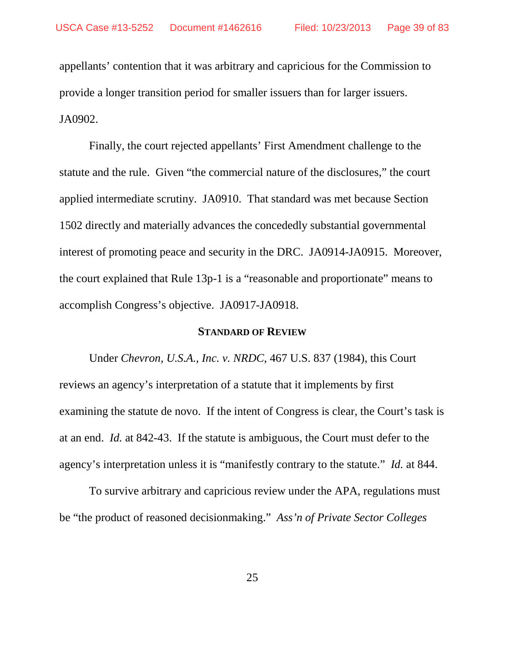appellants' contention that it was arbitrary and capricious for the Commission to provide a longer transition period for smaller issuers than for larger issuers. JA0902.

Finally, the court rejected appellants' First Amendment challenge to the statute and the rule. Given "the commercial nature of the disclosures," the court applied intermediate scrutiny. JA0910. That standard was met because Section 1502 directly and materially advances the concededly substantial governmental interest of promoting peace and security in the DRC. JA0914-JA0915. Moreover, the court explained that Rule 13p-1 is a "reasonable and proportionate" means to accomplish Congress's objective. JA0917-JA0918.

#### **STANDARD OF REVIEW**

Under *Chevron, U.S.A., Inc. v. NRDC*, 467 U.S. 837 (1984), this Court reviews an agency's interpretation of a statute that it implements by first examining the statute de novo. If the intent of Congress is clear, the Court's task is at an end. *Id.* at 842-43. If the statute is ambiguous, the Court must defer to the agency's interpretation unless it is "manifestly contrary to the statute." *Id.* at 844.

To survive arbitrary and capricious review under the APA, regulations must be "the product of reasoned decisionmaking." *Ass'n of Private Sector Colleges*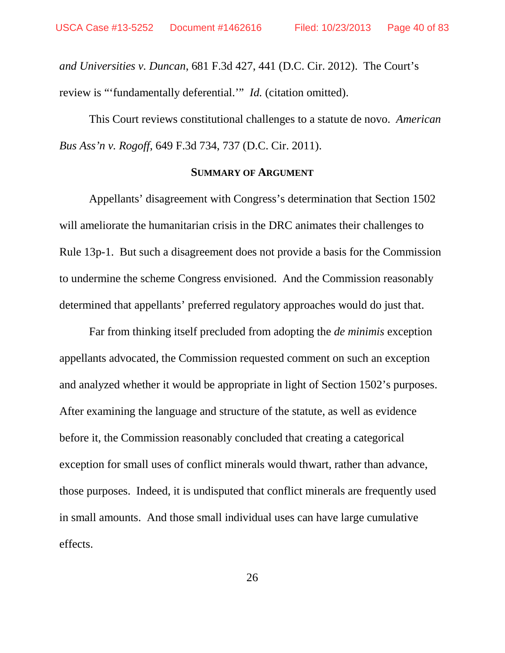*and Universities v. Duncan*, 681 F.3d 427, 441 (D.C. Cir. 2012). The Court's review is "'fundamentally deferential.'" *Id.* (citation omitted).

This Court reviews constitutional challenges to a statute de novo. *American Bus Ass'n v. Rogoff*, 649 F.3d 734, 737 (D.C. Cir. 2011).

### **SUMMARY OF ARGUMENT**

Appellants' disagreement with Congress's determination that Section 1502 will ameliorate the humanitarian crisis in the DRC animates their challenges to Rule 13p-1. But such a disagreement does not provide a basis for the Commission to undermine the scheme Congress envisioned. And the Commission reasonably determined that appellants' preferred regulatory approaches would do just that.

Far from thinking itself precluded from adopting the *de minimis* exception appellants advocated, the Commission requested comment on such an exception and analyzed whether it would be appropriate in light of Section 1502's purposes. After examining the language and structure of the statute, as well as evidence before it, the Commission reasonably concluded that creating a categorical exception for small uses of conflict minerals would thwart, rather than advance, those purposes. Indeed, it is undisputed that conflict minerals are frequently used in small amounts. And those small individual uses can have large cumulative effects.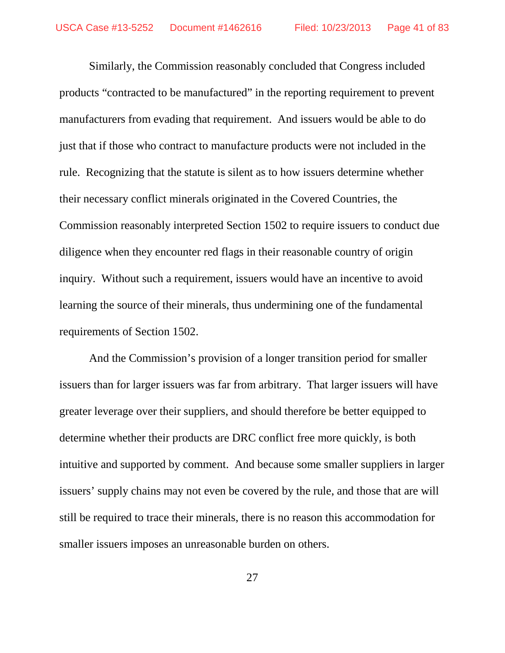Similarly, the Commission reasonably concluded that Congress included products "contracted to be manufactured" in the reporting requirement to prevent manufacturers from evading that requirement. And issuers would be able to do just that if those who contract to manufacture products were not included in the rule. Recognizing that the statute is silent as to how issuers determine whether their necessary conflict minerals originated in the Covered Countries, the Commission reasonably interpreted Section 1502 to require issuers to conduct due diligence when they encounter red flags in their reasonable country of origin inquiry. Without such a requirement, issuers would have an incentive to avoid learning the source of their minerals, thus undermining one of the fundamental requirements of Section 1502.

And the Commission's provision of a longer transition period for smaller issuers than for larger issuers was far from arbitrary. That larger issuers will have greater leverage over their suppliers, and should therefore be better equipped to determine whether their products are DRC conflict free more quickly, is both intuitive and supported by comment. And because some smaller suppliers in larger issuers' supply chains may not even be covered by the rule, and those that are will still be required to trace their minerals, there is no reason this accommodation for smaller issuers imposes an unreasonable burden on others.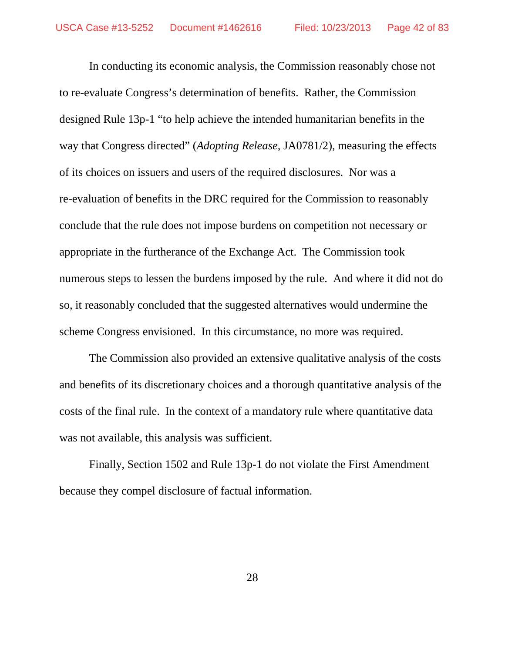In conducting its economic analysis, the Commission reasonably chose not to re-evaluate Congress's determination of benefits. Rather, the Commission designed Rule 13p-1 "to help achieve the intended humanitarian benefits in the way that Congress directed" (*Adopting Release*, JA0781/2), measuring the effects of its choices on issuers and users of the required disclosures. Nor was a re-evaluation of benefits in the DRC required for the Commission to reasonably conclude that the rule does not impose burdens on competition not necessary or appropriate in the furtherance of the Exchange Act. The Commission took numerous steps to lessen the burdens imposed by the rule. And where it did not do so, it reasonably concluded that the suggested alternatives would undermine the scheme Congress envisioned. In this circumstance, no more was required.

The Commission also provided an extensive qualitative analysis of the costs and benefits of its discretionary choices and a thorough quantitative analysis of the costs of the final rule. In the context of a mandatory rule where quantitative data was not available, this analysis was sufficient.

Finally, Section 1502 and Rule 13p-1 do not violate the First Amendment because they compel disclosure of factual information.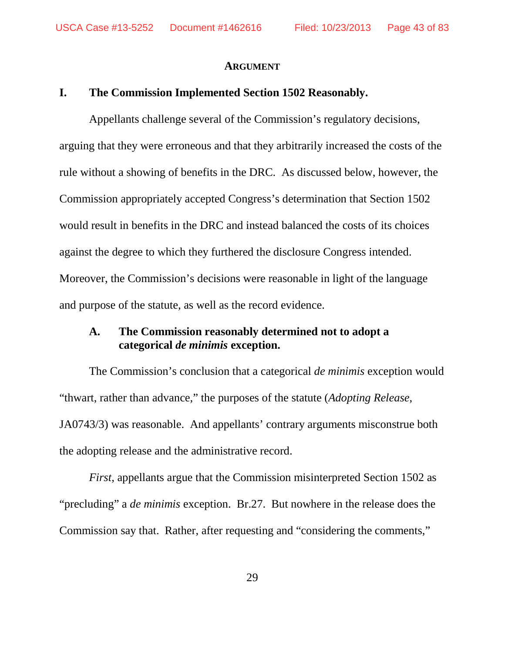#### **ARGUMENT**

### **I. The Commission Implemented Section 1502 Reasonably.**

Appellants challenge several of the Commission's regulatory decisions, arguing that they were erroneous and that they arbitrarily increased the costs of the rule without a showing of benefits in the DRC. As discussed below, however, the Commission appropriately accepted Congress's determination that Section 1502 would result in benefits in the DRC and instead balanced the costs of its choices against the degree to which they furthered the disclosure Congress intended. Moreover, the Commission's decisions were reasonable in light of the language and purpose of the statute, as well as the record evidence.

### **A. The Commission reasonably determined not to adopt a categorical** *de minimis* **exception.**

The Commission's conclusion that a categorical *de minimis* exception would "thwart, rather than advance," the purposes of the statute (*Adopting Release*, JA0743/3) was reasonable. And appellants' contrary arguments misconstrue both the adopting release and the administrative record.

*First*, appellants argue that the Commission misinterpreted Section 1502 as "precluding" a *de minimis* exception. Br.27. But nowhere in the release does the Commission say that. Rather, after requesting and "considering the comments,"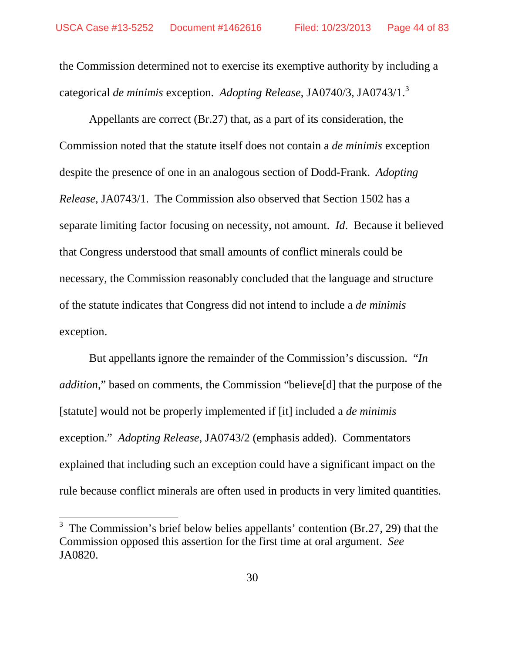the Commission determined not to exercise its exemptive authority by including a categorical *de minimis* exception. *Adopting Release*, JA0740/3, JA0743/1. [3](#page-43-0)

Appellants are correct (Br.27) that, as a part of its consideration, the Commission noted that the statute itself does not contain a *de minimis* exception despite the presence of one in an analogous section of Dodd-Frank. *Adopting Release*, JA0743/1. The Commission also observed that Section 1502 has a separate limiting factor focusing on necessity, not amount. *Id*. Because it believed that Congress understood that small amounts of conflict minerals could be necessary, the Commission reasonably concluded that the language and structure of the statute indicates that Congress did not intend to include a *de minimis* exception.

But appellants ignore the remainder of the Commission's discussion. "*In addition*," based on comments, the Commission "believe[d] that the purpose of the [statute] would not be properly implemented if [it] included a *de minimis* exception." *Adopting Release*, JA0743/2 (emphasis added). Commentators explained that including such an exception could have a significant impact on the rule because conflict minerals are often used in products in very limited quantities.

<span id="page-43-0"></span> $3$  The Commission's brief below belies appellants' contention (Br.27, 29) that the Commission opposed this assertion for the first time at oral argument. *See* JA0820.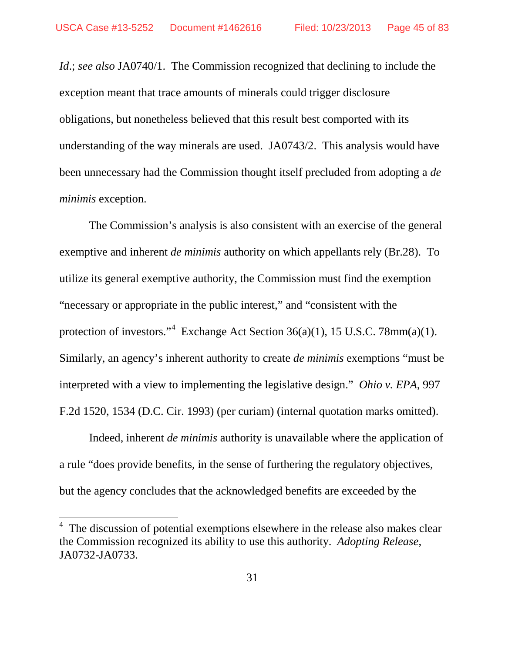*Id*.; *see also* JA0740/1. The Commission recognized that declining to include the exception meant that trace amounts of minerals could trigger disclosure obligations, but nonetheless believed that this result best comported with its understanding of the way minerals are used. JA0743/2. This analysis would have been unnecessary had the Commission thought itself precluded from adopting a *de minimis* exception.

The Commission's analysis is also consistent with an exercise of the general exemptive and inherent *de minimis* authority on which appellants rely (Br.28). To utilize its general exemptive authority, the Commission must find the exemption "necessary or appropriate in the public interest," and "consistent with the protection of investors."<sup>[4](#page-44-0)</sup> Exchange Act Section  $36(a)(1)$ , 15 U.S.C. 78mm(a)(1). Similarly, an agency's inherent authority to create *de minimis* exemptions "must be interpreted with a view to implementing the legislative design." *Ohio v. EPA*, 997 F.2d 1520, 1534 (D.C. Cir. 1993) (per curiam) (internal quotation marks omitted).

Indeed, inherent *de minimis* authority is unavailable where the application of a rule "does provide benefits, in the sense of furthering the regulatory objectives, but the agency concludes that the acknowledged benefits are exceeded by the

<span id="page-44-0"></span> $4\text{ }$  The discussion of potential exemptions elsewhere in the release also makes clear the Commission recognized its ability to use this authority. *Adopting Release*, JA0732-JA0733.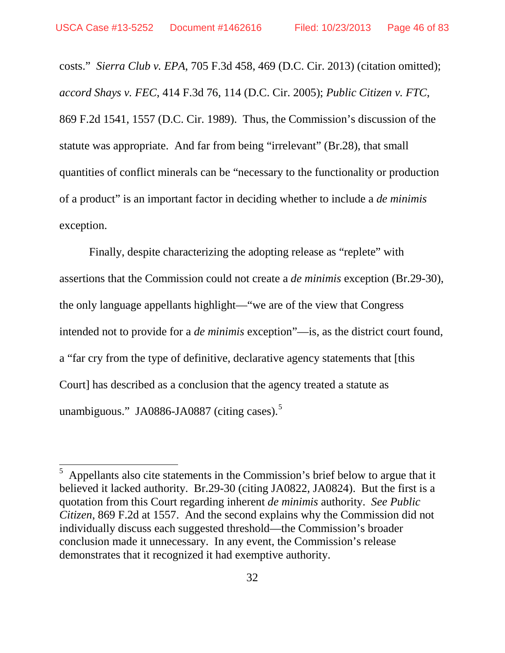costs." *Sierra Club v. EPA*, 705 F.3d 458, 469 (D.C. Cir. 2013) (citation omitted); *accord Shays v. FEC*, 414 F.3d 76, 114 (D.C. Cir. 2005); *Public Citizen v. FTC*, 869 F.2d 1541, 1557 (D.C. Cir. 1989). Thus, the Commission's discussion of the statute was appropriate. And far from being "irrelevant" (Br.28), that small quantities of conflict minerals can be "necessary to the functionality or production of a product" is an important factor in deciding whether to include a *de minimis* exception.

Finally, despite characterizing the adopting release as "replete" with assertions that the Commission could not create a *de minimis* exception (Br.29-30), the only language appellants highlight—"we are of the view that Congress intended not to provide for a *de minimis* exception"—is, as the district court found, a "far cry from the type of definitive, declarative agency statements that [this Court] has described as a conclusion that the agency treated a statute as unambiguous." JA0886-JA0887 (citing cases).<sup>[5](#page-45-0)</sup>

<span id="page-45-0"></span> <sup>5</sup> Appellants also cite statements in the Commission's brief below to argue that it believed it lacked authority. Br.29-30 (citing JA0822, JA0824). But the first is a quotation from this Court regarding inherent *de minimis* authority. *See Public Citizen*, 869 F.2d at 1557. And the second explains why the Commission did not individually discuss each suggested threshold—the Commission's broader conclusion made it unnecessary. In any event, the Commission's release demonstrates that it recognized it had exemptive authority.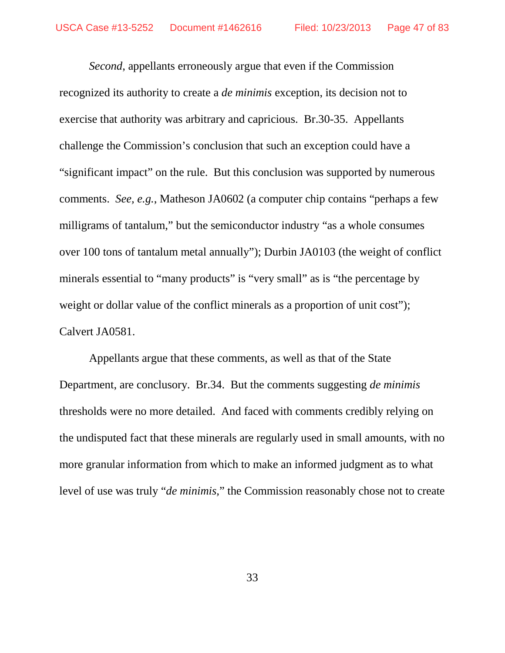*Second*, appellants erroneously argue that even if the Commission recognized its authority to create a *de minimis* exception, its decision not to exercise that authority was arbitrary and capricious. Br.30-35. Appellants challenge the Commission's conclusion that such an exception could have a "significant impact" on the rule. But this conclusion was supported by numerous comments. *See, e.g.*, Matheson JA0602 (a computer chip contains "perhaps a few milligrams of tantalum," but the semiconductor industry "as a whole consumes over 100 tons of tantalum metal annually"); Durbin JA0103 (the weight of conflict minerals essential to "many products" is "very small" as is "the percentage by weight or dollar value of the conflict minerals as a proportion of unit cost": Calvert JA0581.

Appellants argue that these comments, as well as that of the State Department, are conclusory. Br.34. But the comments suggesting *de minimis* thresholds were no more detailed. And faced with comments credibly relying on the undisputed fact that these minerals are regularly used in small amounts, with no more granular information from which to make an informed judgment as to what level of use was truly "*de minimis,*" the Commission reasonably chose not to create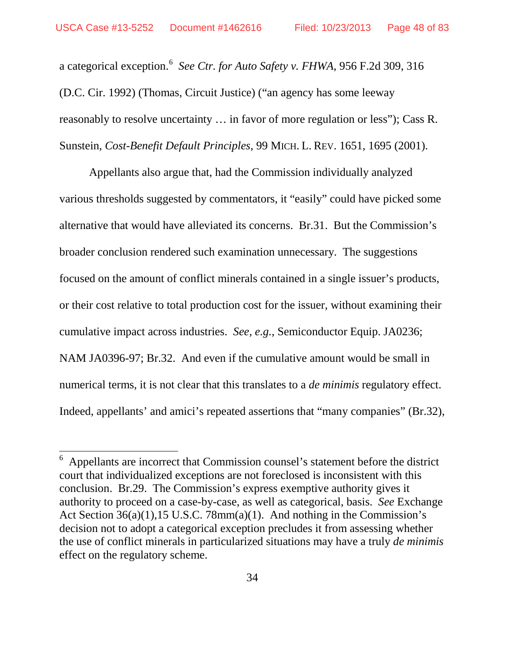a categorical exception.<sup>[6](#page-47-0)</sup> See Ctr. for Auto Safety v. FHWA, 956 F.2d 309, 316 (D.C. Cir. 1992) (Thomas, Circuit Justice) ("an agency has some leeway reasonably to resolve uncertainty … in favor of more regulation or less"); Cass R. Sunstein, *Cost-Benefit Default Principles*, 99 MICH. L. REV. 1651, 1695 (2001).

Appellants also argue that, had the Commission individually analyzed various thresholds suggested by commentators, it "easily" could have picked some alternative that would have alleviated its concerns. Br.31. But the Commission's broader conclusion rendered such examination unnecessary. The suggestions focused on the amount of conflict minerals contained in a single issuer's products, or their cost relative to total production cost for the issuer, without examining their cumulative impact across industries. *See, e.g.*, Semiconductor Equip. JA0236; NAM JA0396-97; Br.32. And even if the cumulative amount would be small in numerical terms, it is not clear that this translates to a *de minimis* regulatory effect. Indeed, appellants' and amici's repeated assertions that "many companies" (Br.32),

<span id="page-47-0"></span> <sup>6</sup> Appellants are incorrect that Commission counsel's statement before the district court that individualized exceptions are not foreclosed is inconsistent with this conclusion. Br.29. The Commission's express exemptive authority gives it authority to proceed on a case-by-case, as well as categorical, basis. *See* Exchange Act Section 36(a)(1),15 U.S.C. 78mm(a)(1). And nothing in the Commission's decision not to adopt a categorical exception precludes it from assessing whether the use of conflict minerals in particularized situations may have a truly *de minimis* effect on the regulatory scheme.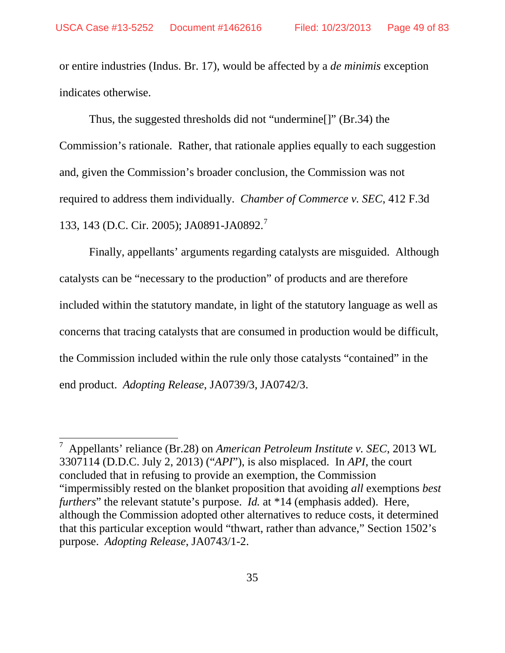or entire industries (Indus. Br. 17), would be affected by a *de minimis* exception indicates otherwise.

Thus, the suggested thresholds did not "undermine[]" (Br.34) the Commission's rationale. Rather, that rationale applies equally to each suggestion and, given the Commission's broader conclusion, the Commission was not required to address them individually. *Chamber of Commerce v. SEC*, 412 F.3d 133, 143 (D.C. Cir. 2005); JA0891-JA0892.<sup>[7](#page-48-0)</sup>

Finally, appellants' arguments regarding catalysts are misguided. Although catalysts can be "necessary to the production" of products and are therefore included within the statutory mandate, in light of the statutory language as well as concerns that tracing catalysts that are consumed in production would be difficult, the Commission included within the rule only those catalysts "contained" in the end product. *Adopting Release*, JA0739/3, JA0742/3.

<span id="page-48-0"></span> <sup>7</sup> Appellants' reliance (Br.28) on *American Petroleum Institute v. SEC*, 2013 WL 3307114 (D.D.C. July 2, 2013) ("*API*"), is also misplaced. In *API*, the court concluded that in refusing to provide an exemption, the Commission "impermissibly rested on the blanket proposition that avoiding *all* exemptions *best furthers*" the relevant statute's purpose. *Id.* at \*14 (emphasis added). Here, although the Commission adopted other alternatives to reduce costs, it determined that this particular exception would "thwart, rather than advance," Section 1502's purpose. *Adopting Release*, JA0743/1-2.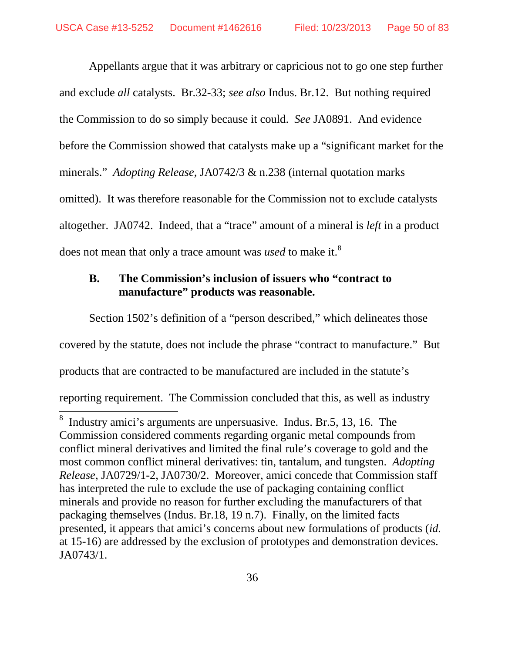Appellants argue that it was arbitrary or capricious not to go one step further and exclude *all* catalysts. Br.32-33; *see also* Indus. Br.12. But nothing required the Commission to do so simply because it could. *See* JA0891. And evidence before the Commission showed that catalysts make up a "significant market for the minerals." *Adopting Release*, JA0742/3 & n.238 (internal quotation marks omitted). It was therefore reasonable for the Commission not to exclude catalysts altogether. JA0742. Indeed, that a "trace" amount of a mineral is *left* in a product does not mean that only a trace amount was *used* to make it. [8](#page-49-0)

# **B. The Commission's inclusion of issuers who "contract to manufacture" products was reasonable.**

Section 1502's definition of a "person described," which delineates those covered by the statute, does not include the phrase "contract to manufacture." But products that are contracted to be manufactured are included in the statute's reporting requirement. The Commission concluded that this, as well as industry 8

<span id="page-49-0"></span>Industry amici's arguments are unpersuasive. Indus. Br.5, 13, 16. The Commission considered comments regarding organic metal compounds from conflict mineral derivatives and limited the final rule's coverage to gold and the most common conflict mineral derivatives: tin, tantalum, and tungsten. *Adopting Release*, JA0729/1-2, JA0730/2. Moreover, amici concede that Commission staff has interpreted the rule to exclude the use of packaging containing conflict minerals and provide no reason for further excluding the manufacturers of that packaging themselves (Indus. Br.18, 19 n.7). Finally, on the limited facts presented, it appears that amici's concerns about new formulations of products (*id.* at 15-16) are addressed by the exclusion of prototypes and demonstration devices. JA0743/1.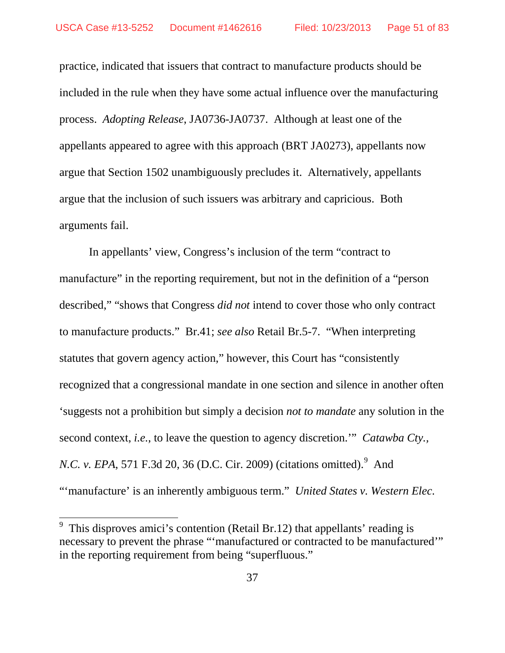practice, indicated that issuers that contract to manufacture products should be included in the rule when they have some actual influence over the manufacturing process. *Adopting Release*, JA0736-JA0737. Although at least one of the appellants appeared to agree with this approach (BRT JA0273), appellants now argue that Section 1502 unambiguously precludes it. Alternatively, appellants argue that the inclusion of such issuers was arbitrary and capricious. Both arguments fail.

In appellants' view, Congress's inclusion of the term "contract to manufacture" in the reporting requirement, but not in the definition of a "person" described," "shows that Congress *did not* intend to cover those who only contract to manufacture products." Br.41; *see also* Retail Br.5-7. "When interpreting statutes that govern agency action," however, this Court has "consistently recognized that a congressional mandate in one section and silence in another often 'suggests not a prohibition but simply a decision *not to mandate* any solution in the second context, *i.e.*, to leave the question to agency discretion.'" *Catawba Cty., N.C. v. EPA*, 571 F.3d 20, 36 (D.C. Cir. 200[9](#page-50-0)) (citations omitted).<sup>9</sup> And "'manufacture' is an inherently ambiguous term." *United States v. Western Elec.* 

<span id="page-50-0"></span><sup>&</sup>lt;sup>9</sup> This disproves amici's contention (Retail Br.12) that appellants' reading is necessary to prevent the phrase "'manufactured or contracted to be manufactured'" in the reporting requirement from being "superfluous."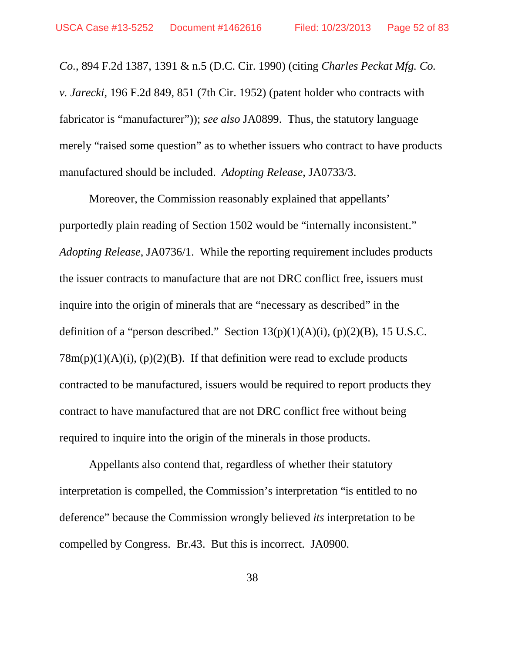*Co.*, 894 F.2d 1387, 1391 & n.5 (D.C. Cir. 1990) (citing *Charles Peckat Mfg. Co. v. Jarecki*, 196 F.2d 849, 851 (7th Cir. 1952) (patent holder who contracts with fabricator is "manufacturer")); *see also* JA0899. Thus, the statutory language merely "raised some question" as to whether issuers who contract to have products manufactured should be included. *Adopting Release*, JA0733/3.

 Moreover, the Commission reasonably explained that appellants' purportedly plain reading of Section 1502 would be "internally inconsistent." *Adopting Release*, JA0736/1. While the reporting requirement includes products the issuer contracts to manufacture that are not DRC conflict free, issuers must inquire into the origin of minerals that are "necessary as described" in the definition of a "person described." Section  $13(p)(1)(A)(i)$ ,  $(p)(2)(B)$ , 15 U.S.C.  $78m(p)(1)(A)(i)$ ,  $(p)(2)(B)$ . If that definition were read to exclude products contracted to be manufactured, issuers would be required to report products they contract to have manufactured that are not DRC conflict free without being required to inquire into the origin of the minerals in those products.

Appellants also contend that, regardless of whether their statutory interpretation is compelled, the Commission's interpretation "is entitled to no deference" because the Commission wrongly believed *its* interpretation to be compelled by Congress. Br.43. But this is incorrect. JA0900.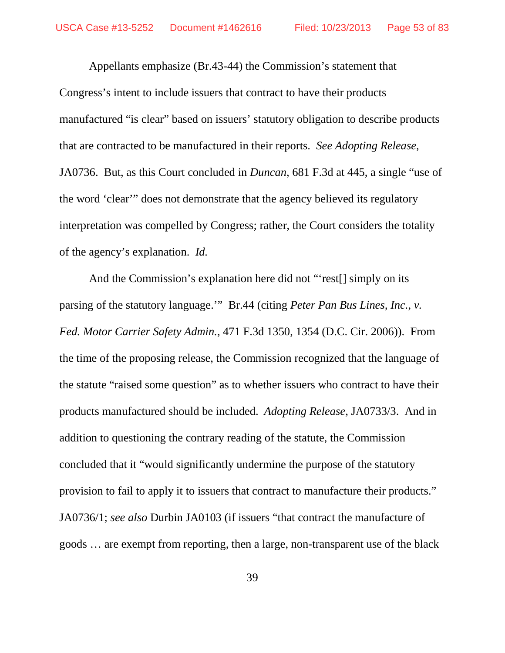Appellants emphasize (Br.43-44) the Commission's statement that Congress's intent to include issuers that contract to have their products manufactured "is clear" based on issuers' statutory obligation to describe products that are contracted to be manufactured in their reports. *See Adopting Release*, JA0736. But, as this Court concluded in *Duncan*, 681 F.3d at 445, a single "use of the word 'clear'" does not demonstrate that the agency believed its regulatory interpretation was compelled by Congress; rather, the Court considers the totality of the agency's explanation. *Id.*

And the Commission's explanation here did not "rest[] simply on its parsing of the statutory language.'" Br.44 (citing *Peter Pan Bus Lines, Inc., v. Fed. Motor Carrier Safety Admin.*, 471 F.3d 1350, 1354 (D.C. Cir. 2006)). From the time of the proposing release, the Commission recognized that the language of the statute "raised some question" as to whether issuers who contract to have their products manufactured should be included. *Adopting Release*, JA0733/3. And in addition to questioning the contrary reading of the statute, the Commission concluded that it "would significantly undermine the purpose of the statutory provision to fail to apply it to issuers that contract to manufacture their products." JA0736/1; *see also* Durbin JA0103 (if issuers "that contract the manufacture of goods … are exempt from reporting, then a large, non-transparent use of the black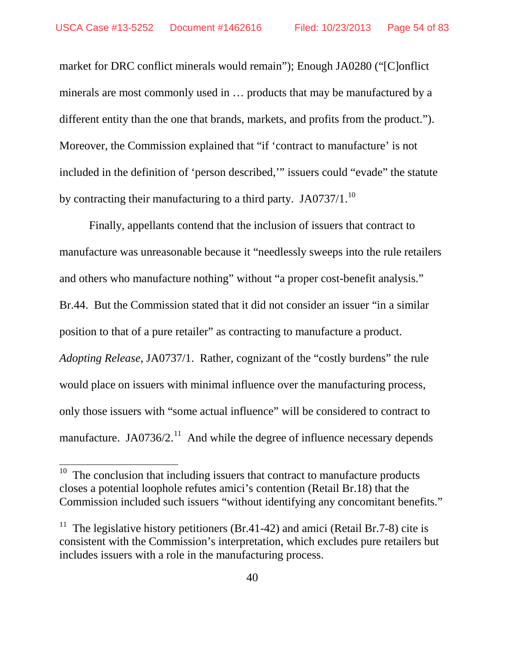market for DRC conflict minerals would remain"); Enough JA0280 ("[C]onflict minerals are most commonly used in … products that may be manufactured by a different entity than the one that brands, markets, and profits from the product."). Moreover, the Commission explained that "if 'contract to manufacture' is not included in the definition of 'person described,'" issuers could "evade" the statute by contracting their manufacturing to a third party. JA0737/1.<sup>[10](#page-53-0)</sup>

Finally, appellants contend that the inclusion of issuers that contract to manufacture was unreasonable because it "needlessly sweeps into the rule retailers and others who manufacture nothing" without "a proper cost-benefit analysis." Br.44. But the Commission stated that it did not consider an issuer "in a similar position to that of a pure retailer" as contracting to manufacture a product. *Adopting Release*, JA0737/1. Rather, cognizant of the "costly burdens" the rule would place on issuers with minimal influence over the manufacturing process, only those issuers with "some actual influence" will be considered to contract to manufacture. JA0736/2.<sup>[11](#page-53-1)</sup> And while the degree of influence necessary depends

<span id="page-53-0"></span> $10$  The conclusion that including issuers that contract to manufacture products closes a potential loophole refutes amici's contention (Retail Br.18) that the Commission included such issuers "without identifying any concomitant benefits."

<span id="page-53-1"></span><sup>&</sup>lt;sup>11</sup> The legislative history petitioners (Br.41-42) and amici (Retail Br.7-8) cite is consistent with the Commission's interpretation, which excludes pure retailers but includes issuers with a role in the manufacturing process.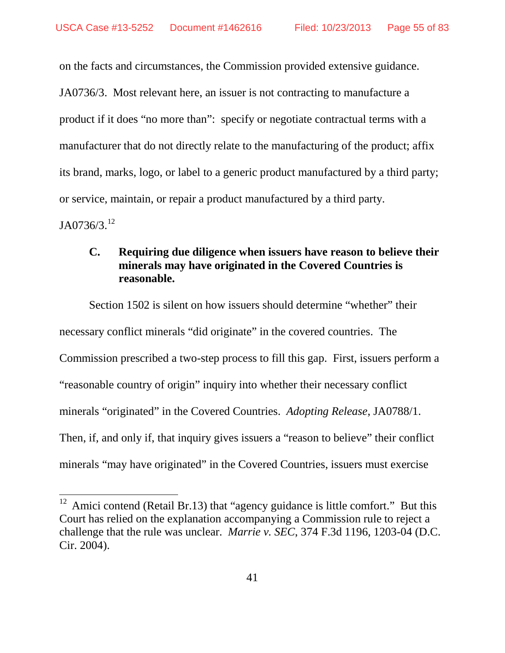on the facts and circumstances, the Commission provided extensive guidance.

JA0736/3. Most relevant here, an issuer is not contracting to manufacture a product if it does "no more than": specify or negotiate contractual terms with a manufacturer that do not directly relate to the manufacturing of the product; affix its brand, marks, logo, or label to a generic product manufactured by a third party; or service, maintain, or repair a product manufactured by a third party.  $JA0736/3.<sup>12</sup>$  $JA0736/3.<sup>12</sup>$  $JA0736/3.<sup>12</sup>$ 

## **C. Requiring due diligence when issuers have reason to believe their minerals may have originated in the Covered Countries is reasonable.**

Section 1502 is silent on how issuers should determine "whether" their necessary conflict minerals "did originate" in the covered countries. The Commission prescribed a two-step process to fill this gap. First, issuers perform a "reasonable country of origin" inquiry into whether their necessary conflict minerals "originated" in the Covered Countries. *Adopting Release*, JA0788/1. Then, if, and only if, that inquiry gives issuers a "reason to believe" their conflict minerals "may have originated" in the Covered Countries, issuers must exercise

<span id="page-54-0"></span> $12$  Amici contend (Retail Br.13) that "agency guidance is little comfort." But this Court has relied on the explanation accompanying a Commission rule to reject a challenge that the rule was unclear. *Marrie v. SEC*, 374 F.3d 1196, 1203-04 (D.C. Cir. 2004).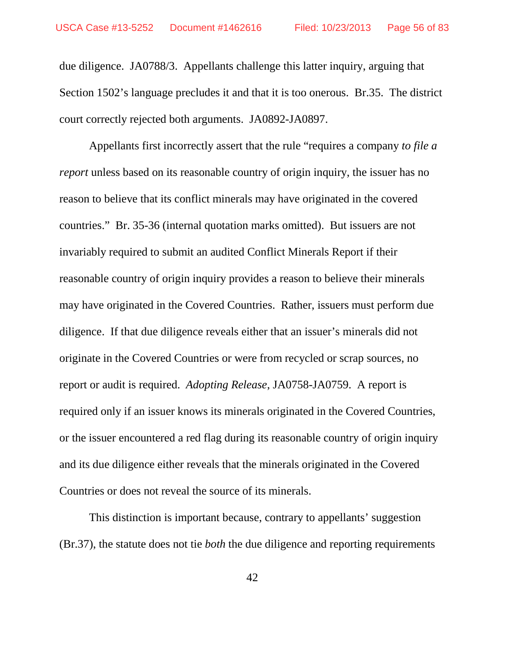due diligence. JA0788/3. Appellants challenge this latter inquiry, arguing that Section 1502's language precludes it and that it is too onerous. Br.35. The district court correctly rejected both arguments. JA0892-JA0897.

Appellants first incorrectly assert that the rule "requires a company *to file a report* unless based on its reasonable country of origin inquiry, the issuer has no reason to believe that its conflict minerals may have originated in the covered countries." Br. 35-36 (internal quotation marks omitted). But issuers are not invariably required to submit an audited Conflict Minerals Report if their reasonable country of origin inquiry provides a reason to believe their minerals may have originated in the Covered Countries. Rather, issuers must perform due diligence. If that due diligence reveals either that an issuer's minerals did not originate in the Covered Countries or were from recycled or scrap sources, no report or audit is required. *Adopting Release*, JA0758-JA0759. A report is required only if an issuer knows its minerals originated in the Covered Countries, or the issuer encountered a red flag during its reasonable country of origin inquiry and its due diligence either reveals that the minerals originated in the Covered Countries or does not reveal the source of its minerals.

This distinction is important because, contrary to appellants' suggestion (Br.37), the statute does not tie *both* the due diligence and reporting requirements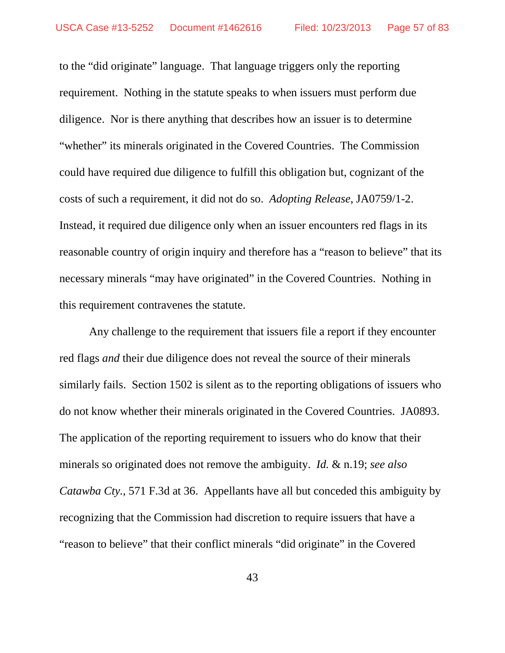to the "did originate" language. That language triggers only the reporting requirement. Nothing in the statute speaks to when issuers must perform due diligence. Nor is there anything that describes how an issuer is to determine "whether" its minerals originated in the Covered Countries. The Commission could have required due diligence to fulfill this obligation but, cognizant of the costs of such a requirement, it did not do so. *Adopting Release*, JA0759/1-2. Instead, it required due diligence only when an issuer encounters red flags in its reasonable country of origin inquiry and therefore has a "reason to believe" that its necessary minerals "may have originated" in the Covered Countries. Nothing in this requirement contravenes the statute.

Any challenge to the requirement that issuers file a report if they encounter red flags *and* their due diligence does not reveal the source of their minerals similarly fails. Section 1502 is silent as to the reporting obligations of issuers who do not know whether their minerals originated in the Covered Countries. JA0893. The application of the reporting requirement to issuers who do know that their minerals so originated does not remove the ambiguity. *Id.* & n.19; *see also Catawba Cty.*, 571 F.3d at 36. Appellants have all but conceded this ambiguity by recognizing that the Commission had discretion to require issuers that have a "reason to believe" that their conflict minerals "did originate" in the Covered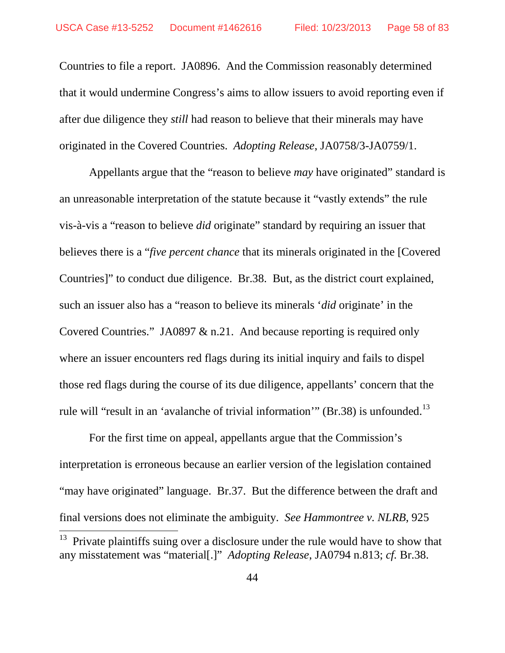Countries to file a report. JA0896. And the Commission reasonably determined that it would undermine Congress's aims to allow issuers to avoid reporting even if after due diligence they *still* had reason to believe that their minerals may have originated in the Covered Countries. *Adopting Release*, JA0758/3-JA0759/1.

Appellants argue that the "reason to believe *may* have originated" standard is an unreasonable interpretation of the statute because it "vastly extends" the rule vis-à-vis a "reason to believe *did* originate" standard by requiring an issuer that believes there is a "*five percent chance* that its minerals originated in the [Covered Countries]" to conduct due diligence. Br.38. But, as the district court explained, such an issuer also has a "reason to believe its minerals '*did* originate' in the Covered Countries." JA0897 & n.21. And because reporting is required only where an issuer encounters red flags during its initial inquiry and fails to dispel those red flags during the course of its due diligence, appellants' concern that the rule will "result in an 'avalanche of trivial information" (Br.38) is unfounded.<sup>[13](#page-57-0)</sup>

For the first time on appeal, appellants argue that the Commission's interpretation is erroneous because an earlier version of the legislation contained "may have originated" language. Br.37. But the difference between the draft and final versions does not eliminate the ambiguity. *See Hammontree v. NLRB*, 925

<span id="page-57-0"></span>Private plaintiffs suing over a disclosure under the rule would have to show that any misstatement was "material[.]" *Adopting Release*, JA0794 n.813; *cf.* Br.38.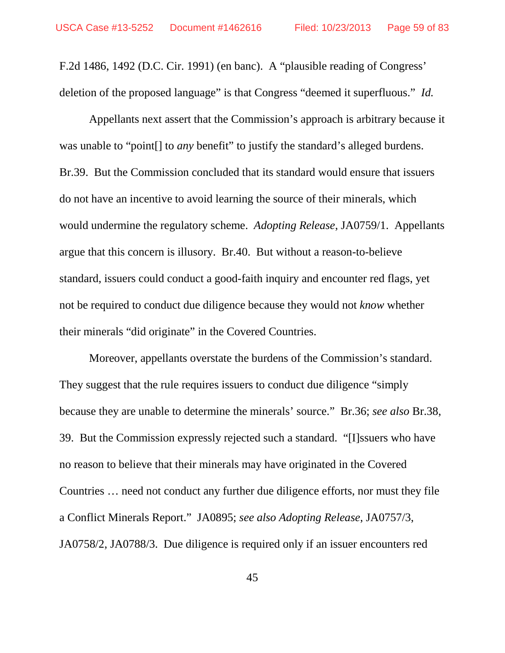F.2d 1486, 1492 (D.C. Cir. 1991) (en banc).A "plausible reading of Congress' deletion of the proposed language" is that Congress "deemed it superfluous." *Id.*

Appellants next assert that the Commission's approach is arbitrary because it was unable to "point[] to *any* benefit" to justify the standard's alleged burdens. Br.39. But the Commission concluded that its standard would ensure that issuers do not have an incentive to avoid learning the source of their minerals, which would undermine the regulatory scheme. *Adopting Release*, JA0759/1. Appellants argue that this concern is illusory. Br.40. But without a reason-to-believe standard, issuers could conduct a good-faith inquiry and encounter red flags, yet not be required to conduct due diligence because they would not *know* whether their minerals "did originate" in the Covered Countries.

Moreover, appellants overstate the burdens of the Commission's standard. They suggest that the rule requires issuers to conduct due diligence "simply because they are unable to determine the minerals' source." Br.36; *see also* Br.38, 39. But the Commission expressly rejected such a standard. "[I]ssuers who have no reason to believe that their minerals may have originated in the Covered Countries … need not conduct any further due diligence efforts, nor must they file a Conflict Minerals Report." JA0895; *see also Adopting Release*, JA0757/3, JA0758/2, JA0788/3. Due diligence is required only if an issuer encounters red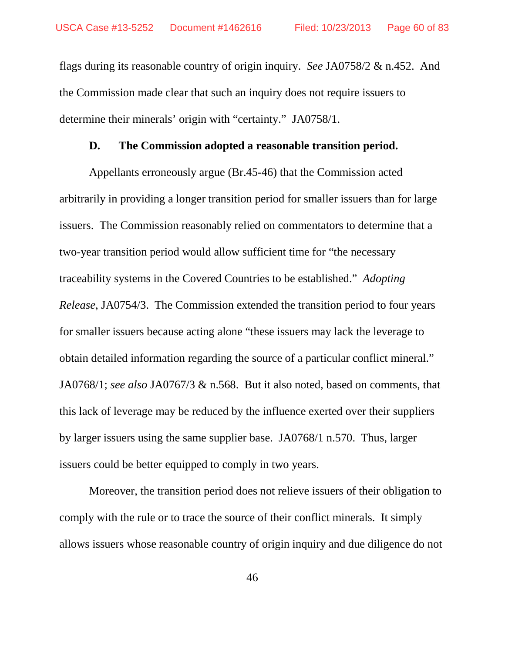flags during its reasonable country of origin inquiry. *See* JA0758/2 & n.452. And the Commission made clear that such an inquiry does not require issuers to determine their minerals' origin with "certainty." JA0758/1.

#### **D. The Commission adopted a reasonable transition period.**

Appellants erroneously argue (Br.45-46) that the Commission acted arbitrarily in providing a longer transition period for smaller issuers than for large issuers. The Commission reasonably relied on commentators to determine that a two-year transition period would allow sufficient time for "the necessary traceability systems in the Covered Countries to be established." *Adopting Release*, JA0754/3. The Commission extended the transition period to four years for smaller issuers because acting alone "these issuers may lack the leverage to obtain detailed information regarding the source of a particular conflict mineral." JA0768/1; *see also* JA0767/3 & n.568. But it also noted, based on comments, that this lack of leverage may be reduced by the influence exerted over their suppliers by larger issuers using the same supplier base. JA0768/1 n.570. Thus, larger issuers could be better equipped to comply in two years.

Moreover, the transition period does not relieve issuers of their obligation to comply with the rule or to trace the source of their conflict minerals. It simply allows issuers whose reasonable country of origin inquiry and due diligence do not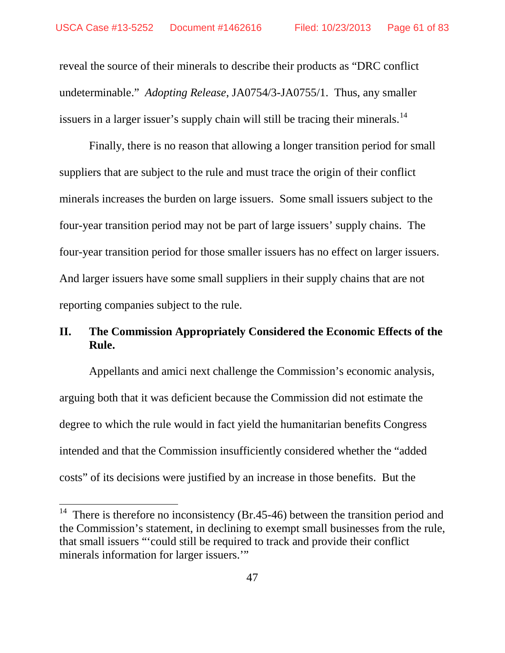reveal the source of their minerals to describe their products as "DRC conflict undeterminable." *Adopting Release*, JA0754/3-JA0755/1. Thus, any smaller issuers in a larger issuer's supply chain will still be tracing their minerals.<sup>[14](#page-60-0)</sup>

Finally, there is no reason that allowing a longer transition period for small suppliers that are subject to the rule and must trace the origin of their conflict minerals increases the burden on large issuers. Some small issuers subject to the four-year transition period may not be part of large issuers' supply chains. The four-year transition period for those smaller issuers has no effect on larger issuers. And larger issuers have some small suppliers in their supply chains that are not reporting companies subject to the rule.

## **II. The Commission Appropriately Considered the Economic Effects of the Rule.**

Appellants and amici next challenge the Commission's economic analysis, arguing both that it was deficient because the Commission did not estimate the degree to which the rule would in fact yield the humanitarian benefits Congress intended and that the Commission insufficiently considered whether the "added costs" of its decisions were justified by an increase in those benefits. But the

<span id="page-60-0"></span><sup>&</sup>lt;sup>14</sup> There is therefore no inconsistency (Br.45-46) between the transition period and the Commission's statement, in declining to exempt small businesses from the rule, that small issuers "'could still be required to track and provide their conflict minerals information for larger issuers.'"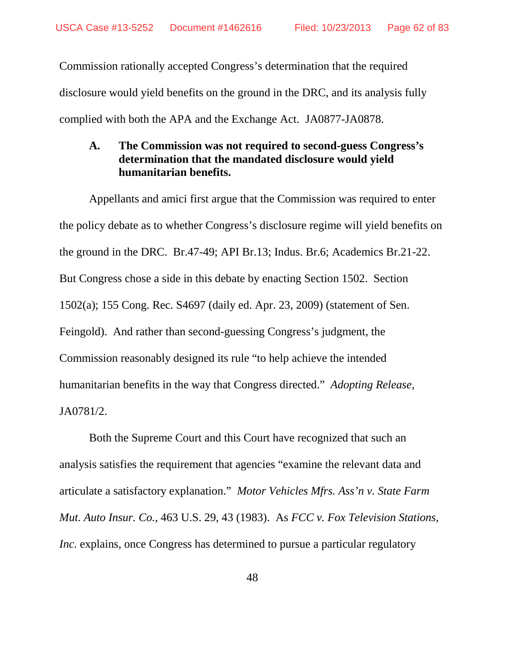Commission rationally accepted Congress's determination that the required disclosure would yield benefits on the ground in the DRC, and its analysis fully complied with both the APA and the Exchange Act. JA0877-JA0878.

## **A. The Commission was not required to second-guess Congress's determination that the mandated disclosure would yield humanitarian benefits.**

Appellants and amici first argue that the Commission was required to enter the policy debate as to whether Congress's disclosure regime will yield benefits on the ground in the DRC. Br.47-49; API Br.13; Indus. Br.6; Academics Br.21-22. But Congress chose a side in this debate by enacting Section 1502. Section 1502(a); 155 Cong. Rec. S4697 (daily ed. Apr. 23, 2009) (statement of Sen. Feingold). And rather than second-guessing Congress's judgment, the Commission reasonably designed its rule "to help achieve the intended humanitarian benefits in the way that Congress directed." *Adopting Release*, JA0781/2.

Both the Supreme Court and this Court have recognized that such an analysis satisfies the requirement that agencies "examine the relevant data and articulate a satisfactory explanation." *Motor Vehicles Mfrs. Ass'n v. State Farm Mut. Auto Insur. Co.*, 463 U.S. 29, 43 (1983). As *FCC v. Fox Television Stations, Inc.* explains, once Congress has determined to pursue a particular regulatory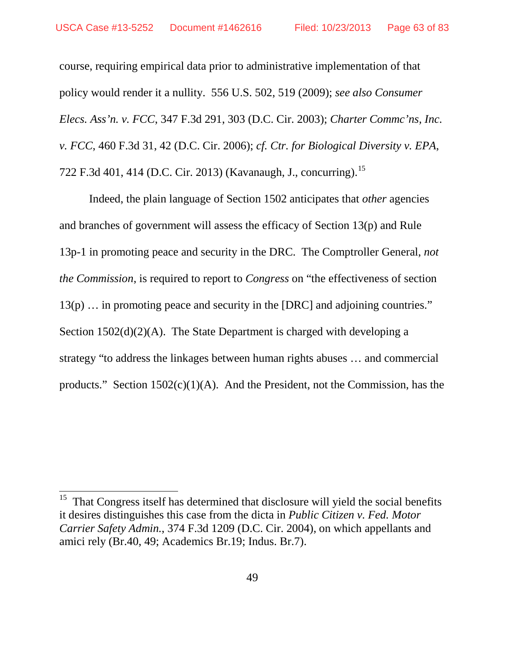course, requiring empirical data prior to administrative implementation of that policy would render it a nullity. 556 U.S. 502, 519 (2009); *see also Consumer Elecs. Ass'n. v. FCC*, 347 F.3d 291, 303 (D.C. Cir. 2003); *Charter Commc'ns, Inc. v. FCC*, 460 F.3d 31, 42 (D.C. Cir. 2006); *cf. Ctr. for Biological Diversity v. EPA*, 722 F.3d 401, 414 (D.C. Cir. 2013) (Kavanaugh, J., concurring).<sup>[15](#page-62-0)</sup>

Indeed, the plain language of Section 1502 anticipates that *other* agencies and branches of government will assess the efficacy of Section 13(p) and Rule 13p-1 in promoting peace and security in the DRC. The Comptroller General, *not the Commission*, is required to report to *Congress* on "the effectiveness of section 13(p) … in promoting peace and security in the [DRC] and adjoining countries." Section 1502(d)(2)(A). The State Department is charged with developing a strategy "to address the linkages between human rights abuses … and commercial products." Section  $1502(c)(1)(A)$ . And the President, not the Commission, has the

<span id="page-62-0"></span><sup>&</sup>lt;sup>15</sup> That Congress itself has determined that disclosure will yield the social benefits it desires distinguishes this case from the dicta in *Public Citizen v. Fed. Motor Carrier Safety Admin.*, 374 F.3d 1209 (D.C. Cir. 2004), on which appellants and amici rely (Br.40, 49; Academics Br.19; Indus. Br.7).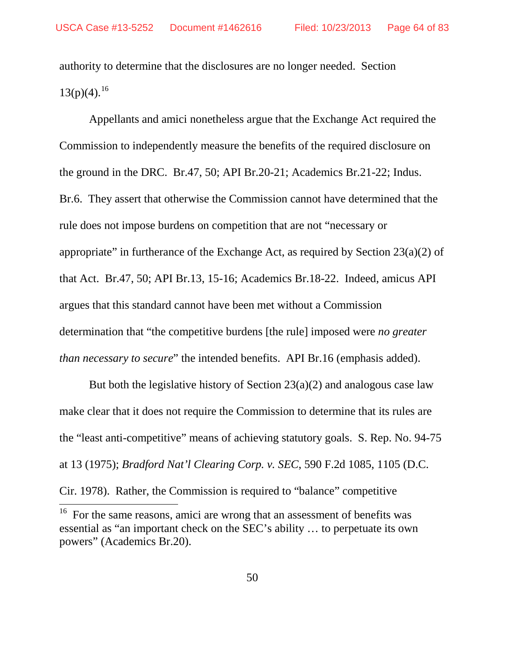authority to determine that the disclosures are no longer needed. Section  $13(p)(4)$ .<sup>[16](#page-63-0)</sup>

Appellants and amici nonetheless argue that the Exchange Act required the Commission to independently measure the benefits of the required disclosure on the ground in the DRC. Br.47, 50; API Br.20-21; Academics Br.21-22; Indus. Br.6. They assert that otherwise the Commission cannot have determined that the rule does not impose burdens on competition that are not "necessary or appropriate" in furtherance of the Exchange Act, as required by Section  $23(a)(2)$  of that Act. Br.47, 50; API Br.13, 15-16; Academics Br.18-22. Indeed, amicus API argues that this standard cannot have been met without a Commission determination that "the competitive burdens [the rule] imposed were *no greater than necessary to secure*" the intended benefits. API Br.16 (emphasis added).

But both the legislative history of Section  $23(a)(2)$  and analogous case law make clear that it does not require the Commission to determine that its rules are the "least anti-competitive" means of achieving statutory goals. S. Rep. No. 94-75 at 13 (1975); *Bradford Nat'l Clearing Corp. v. SEC*, 590 F.2d 1085, 1105 (D.C. Cir. 1978). Rather, the Commission is required to "balance" competitive

<span id="page-63-0"></span><sup>&</sup>lt;sup>16</sup> For the same reasons, amici are wrong that an assessment of benefits was essential as "an important check on the SEC's ability … to perpetuate its own powers" (Academics Br.20).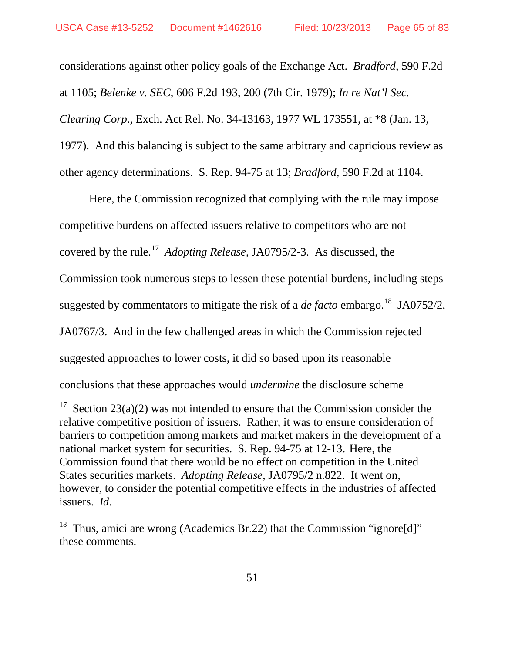considerations against other policy goals of the Exchange Act. *Bradford*, 590 F.2d at 1105; *Belenke v. SEC*, 606 F.2d 193, 200 (7th Cir. 1979); *In re Nat'l Sec. Clearing Corp*., Exch. Act Rel. No. 34-13163, 1977 WL 173551, at \*8 (Jan. 13, 1977). And this balancing is subject to the same arbitrary and capricious review as other agency determinations. S. Rep. 94-75 at 13; *Bradford*, 590 F.2d at 1104.

Here, the Commission recognized that complying with the rule may impose competitive burdens on affected issuers relative to competitors who are not covered by the rule.[17](#page-64-0) *Adopting Release*, JA0795/2-3. As discussed, the Commission took numerous steps to lessen these potential burdens, including steps suggested by commentators to mitigate the risk of a *de facto* embargo. [18](#page-64-1) JA0752/2, JA0767/3. And in the few challenged areas in which the Commission rejected suggested approaches to lower costs, it did so based upon its reasonable conclusions that these approaches would *undermine* the disclosure scheme

<span id="page-64-0"></span><sup>&</sup>lt;sup>17</sup> Section 23(a)(2) was not intended to ensure that the Commission consider the relative competitive position of issuers. Rather, it was to ensure consideration of barriers to competition among markets and market makers in the development of a national market system for securities. S. Rep. 94-75 at 12-13. Here, the Commission found that there would be no effect on competition in the United States securities markets. *Adopting Release*, JA0795/2 n.822. It went on, however, to consider the potential competitive effects in the industries of affected issuers. *Id*.

<span id="page-64-1"></span><sup>&</sup>lt;sup>18</sup> Thus, amici are wrong (Academics Br.22) that the Commission "ignore[d]" these comments.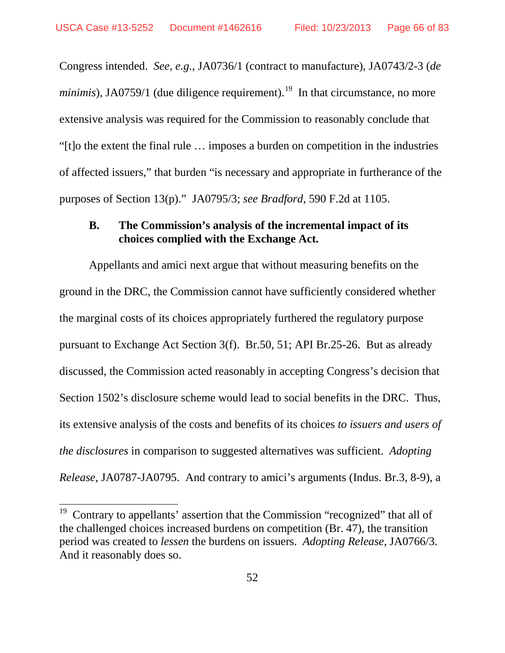Congress intended. *See*, *e.g.*, JA0736/1 (contract to manufacture), JA0743/2-3 (*de minimis*), JA0759/1 (due diligence requirement).<sup>19</sup> In that circumstance, no more extensive analysis was required for the Commission to reasonably conclude that "[t]o the extent the final rule … imposes a burden on competition in the industries of affected issuers," that burden "is necessary and appropriate in furtherance of the purposes of Section 13(p)." JA0795/3; *see Bradford*, 590 F.2d at 1105.

### **B. The Commission's analysis of the incremental impact of its choices complied with the Exchange Act.**

Appellants and amici next argue that without measuring benefits on the ground in the DRC, the Commission cannot have sufficiently considered whether the marginal costs of its choices appropriately furthered the regulatory purpose pursuant to Exchange Act Section 3(f). Br.50, 51; API Br.25-26. But as already discussed, the Commission acted reasonably in accepting Congress's decision that Section 1502's disclosure scheme would lead to social benefits in the DRC. Thus, its extensive analysis of the costs and benefits of its choices *to issuers and users of the disclosures* in comparison to suggested alternatives was sufficient. *Adopting Release*, JA0787-JA0795. And contrary to amici's arguments (Indus. Br.3, 8-9), a

<span id="page-65-0"></span><sup>&</sup>lt;sup>19</sup> Contrary to appellants' assertion that the Commission "recognized" that all of the challenged choices increased burdens on competition (Br. 47), the transition period was created to *lessen* the burdens on issuers. *Adopting Release*, JA0766/3. And it reasonably does so.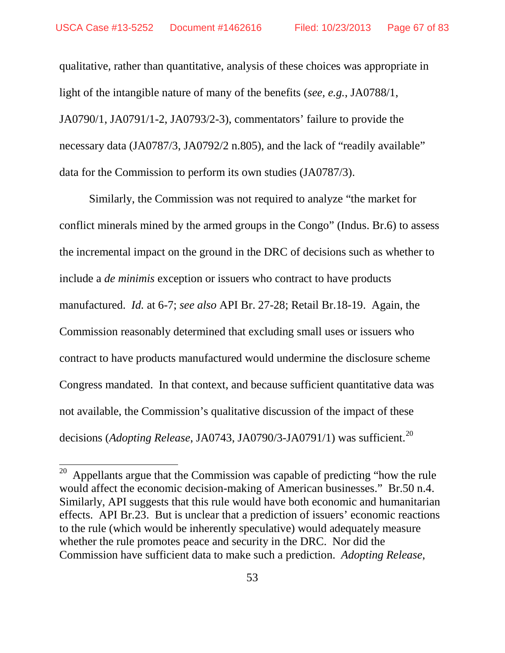qualitative, rather than quantitative, analysis of these choices was appropriate in light of the intangible nature of many of the benefits (*see, e.g.*, JA0788/1, JA0790/1, JA0791/1-2, JA0793/2-3), commentators' failure to provide the necessary data (JA0787/3, JA0792/2 n.805), and the lack of "readily available" data for the Commission to perform its own studies (JA0787/3).

Similarly, the Commission was not required to analyze "the market for conflict minerals mined by the armed groups in the Congo" (Indus. Br.6) to assess the incremental impact on the ground in the DRC of decisions such as whether to include a *de minimis* exception or issuers who contract to have products manufactured. *Id.* at 6-7; *see also* API Br. 27-28; Retail Br.18-19. Again, the Commission reasonably determined that excluding small uses or issuers who contract to have products manufactured would undermine the disclosure scheme Congress mandated. In that context, and because sufficient quantitative data was not available, the Commission's qualitative discussion of the impact of these decisions (*Adopting Release*, JA0743, JA0790/3-JA0791/1) was sufficient.<sup>[20](#page-66-0)</sup>

<span id="page-66-0"></span> $20$  Appellants argue that the Commission was capable of predicting "how the rule" would affect the economic decision-making of American businesses." Br.50 n.4. Similarly, API suggests that this rule would have both economic and humanitarian effects. API Br.23. But is unclear that a prediction of issuers' economic reactions to the rule (which would be inherently speculative) would adequately measure whether the rule promotes peace and security in the DRC. Nor did the Commission have sufficient data to make such a prediction. *Adopting Release*,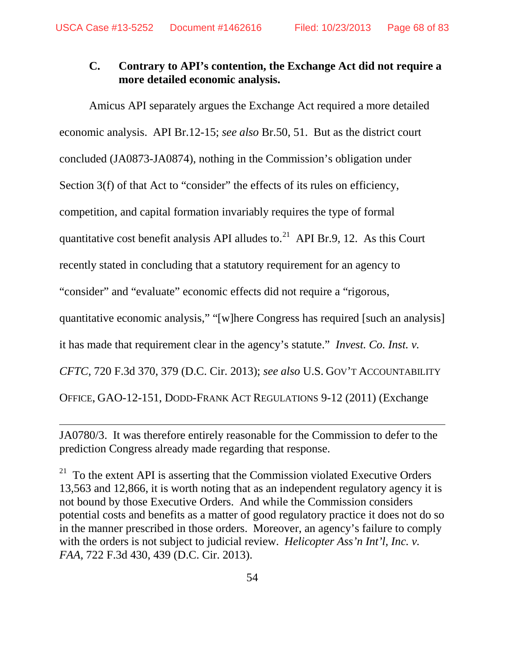## **C. Contrary to API's contention, the Exchange Act did not require a more detailed economic analysis.**

Amicus API separately argues the Exchange Act required a more detailed economic analysis. API Br.12-15; *see also* Br.50, 51. But as the district court concluded (JA0873-JA0874), nothing in the Commission's obligation under Section 3(f) of that Act to "consider" the effects of its rules on efficiency, competition, and capital formation invariably requires the type of formal quantitative cost benefit analysis API alludes to. $^{21}$  API Br.9, 12. As this Court recently stated in concluding that a statutory requirement for an agency to "consider" and "evaluate" economic effects did not require a "rigorous, quantitative economic analysis," "[w]here Congress has required [such an analysis] it has made that requirement clear in the agency's statute." *Invest. Co. Inst. v. CFTC*, 720 F.3d 370, 379 (D.C. Cir. 2013); *see also* U.S. GOV'T ACCOUNTABILITY OFFICE, GAO-12-151, DODD-FRANK ACT REGULATIONS 9-12 (2011) (Exchange

JA0780/3. It was therefore entirely reasonable for the Commission to defer to the prediction Congress already made regarding that response.

 $\overline{a}$ 

<span id="page-67-0"></span><sup>21</sup> To the extent API is asserting that the Commission violated Executive Orders 13,563 and 12,866, it is worth noting that as an independent regulatory agency it is not bound by those Executive Orders. And while the Commission considers potential costs and benefits as a matter of good regulatory practice it does not do so in the manner prescribed in those orders. Moreover, an agency's failure to comply with the orders is not subject to judicial review. *Helicopter Ass'n Int'l, Inc. v. FAA*, 722 F.3d 430, 439 (D.C. Cir. 2013).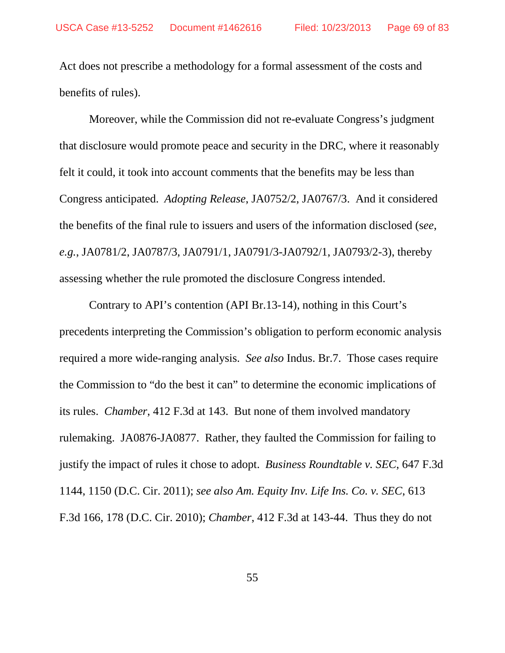Act does not prescribe a methodology for a formal assessment of the costs and benefits of rules).

Moreover, while the Commission did not re-evaluate Congress's judgment that disclosure would promote peace and security in the DRC, where it reasonably felt it could, it took into account comments that the benefits may be less than Congress anticipated. *Adopting Release*, JA0752/2, JA0767/3. And it considered the benefits of the final rule to issuers and users of the information disclosed (s*ee*, *e.g.*, JA0781/2, JA0787/3, JA0791/1, JA0791/3-JA0792/1, JA0793/2-3), thereby assessing whether the rule promoted the disclosure Congress intended.

Contrary to API's contention (API Br.13-14), nothing in this Court's precedents interpreting the Commission's obligation to perform economic analysis required a more wide-ranging analysis. *See also* Indus. Br.7. Those cases require the Commission to "do the best it can" to determine the economic implications of its rules. *Chamber*, 412 F.3d at 143. But none of them involved mandatory rulemaking. JA0876-JA0877. Rather, they faulted the Commission for failing to justify the impact of rules it chose to adopt. *Business Roundtable v. SEC*, 647 F.3d 1144, 1150 (D.C. Cir. 2011); *see also Am. Equity Inv. Life Ins. Co. v. SEC*, 613 F.3d 166, 178 (D.C. Cir. 2010); *Chamber*, 412 F.3d at 143-44. Thus they do not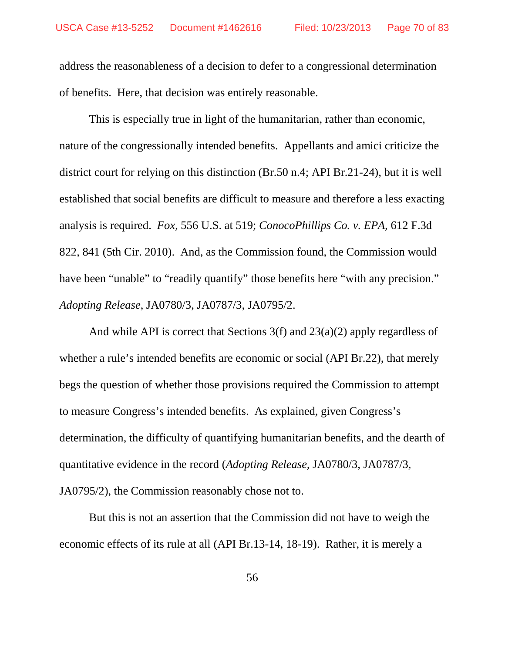address the reasonableness of a decision to defer to a congressional determination of benefits. Here, that decision was entirely reasonable.

This is especially true in light of the humanitarian, rather than economic, nature of the congressionally intended benefits. Appellants and amici criticize the district court for relying on this distinction (Br.50 n.4; API Br.21-24), but it is well established that social benefits are difficult to measure and therefore a less exacting analysis is required. *Fox*, 556 U.S. at 519; *ConocoPhillips Co. v. EPA*, 612 F.3d 822, 841 (5th Cir. 2010). And, as the Commission found, the Commission would have been "unable" to "readily quantify" those benefits here "with any precision." *Adopting Release*, JA0780/3, JA0787/3, JA0795/2.

And while API is correct that Sections 3(f) and 23(a)(2) apply regardless of whether a rule's intended benefits are economic or social (API Br.22), that merely begs the question of whether those provisions required the Commission to attempt to measure Congress's intended benefits. As explained, given Congress's determination, the difficulty of quantifying humanitarian benefits, and the dearth of quantitative evidence in the record (*Adopting Release*, JA0780/3, JA0787/3, JA0795/2), the Commission reasonably chose not to.

But this is not an assertion that the Commission did not have to weigh the economic effects of its rule at all (API Br.13-14, 18-19). Rather, it is merely a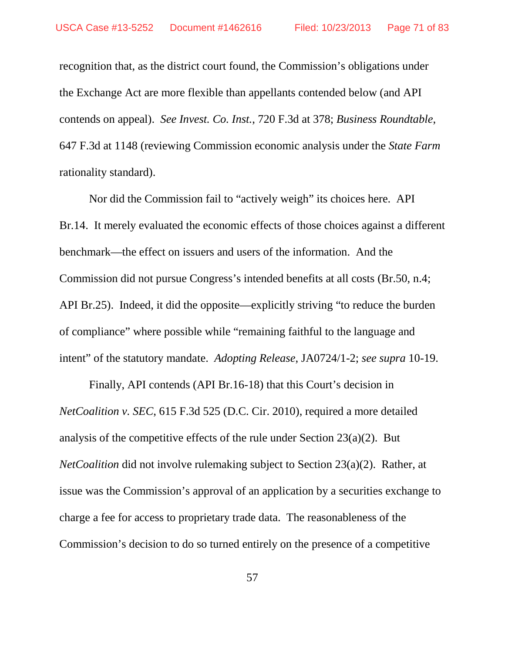recognition that, as the district court found, the Commission's obligations under the Exchange Act are more flexible than appellants contended below (and API contends on appeal). *See Invest. Co. Inst.*, 720 F.3d at 378; *Business Roundtable*, 647 F.3d at 1148 (reviewing Commission economic analysis under the *State Farm* rationality standard).

Nor did the Commission fail to "actively weigh" its choices here. API Br.14. It merely evaluated the economic effects of those choices against a different benchmark—the effect on issuers and users of the information. And the Commission did not pursue Congress's intended benefits at all costs (Br.50, n.4; API Br.25). Indeed, it did the opposite—explicitly striving "to reduce the burden of compliance" where possible while "remaining faithful to the language and intent" of the statutory mandate. *Adopting Release*, JA0724/1-2; *see supra* 10-19.

Finally, API contends (API Br.16-18) that this Court's decision in *NetCoalition v. SEC*, 615 F.3d 525 (D.C. Cir. 2010), required a more detailed analysis of the competitive effects of the rule under Section  $23(a)(2)$ . But *NetCoalition* did not involve rulemaking subject to Section 23(a)(2). Rather, at issue was the Commission's approval of an application by a securities exchange to charge a fee for access to proprietary trade data. The reasonableness of the Commission's decision to do so turned entirely on the presence of a competitive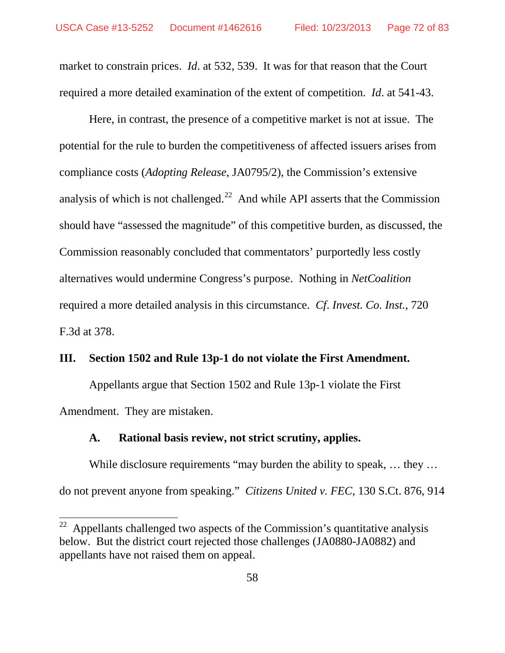market to constrain prices. *Id*. at 532, 539. It was for that reason that the Court required a more detailed examination of the extent of competition. *Id*. at 541-43.

Here, in contrast, the presence of a competitive market is not at issue. The potential for the rule to burden the competitiveness of affected issuers arises from compliance costs (*Adopting Release*, JA0795/2), the Commission's extensive analysis of which is not challenged.<sup>22</sup> And while API asserts that the Commission should have "assessed the magnitude" of this competitive burden, as discussed, the Commission reasonably concluded that commentators' purportedly less costly alternatives would undermine Congress's purpose. Nothing in *NetCoalition* required a more detailed analysis in this circumstance. *Cf*. *Invest. Co. Inst.*, 720 F.3d at 378.

### **III. Section 1502 and Rule 13p-1 do not violate the First Amendment.**

Appellants argue that Section 1502 and Rule 13p-1 violate the First Amendment. They are mistaken.

### **A. Rational basis review, not strict scrutiny, applies.**

While disclosure requirements "may burden the ability to speak, ... they ... do not prevent anyone from speaking." *Citizens United v. FEC*, 130 S.Ct. 876, 914

<span id="page-71-0"></span> $22$  Appellants challenged two aspects of the Commission's quantitative analysis below. But the district court rejected those challenges (JA0880-JA0882) and appellants have not raised them on appeal.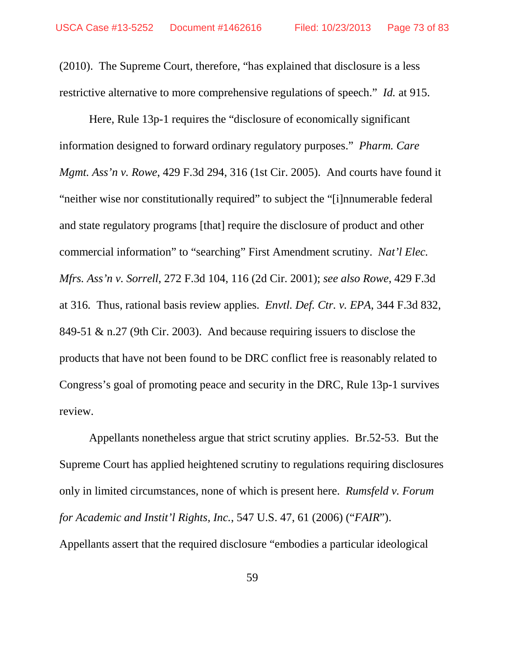(2010). The Supreme Court, therefore, "has explained that disclosure is a less restrictive alternative to more comprehensive regulations of speech." *Id.* at 915.

Here, Rule 13p-1 requires the "disclosure of economically significant information designed to forward ordinary regulatory purposes." *Pharm. Care Mgmt. Ass'n v. Rowe*, 429 F.3d 294, 316 (1st Cir. 2005). And courts have found it "neither wise nor constitutionally required" to subject the "[i]nnumerable federal and state regulatory programs [that] require the disclosure of product and other commercial information" to "searching" First Amendment scrutiny. *Nat'l Elec. Mfrs. Ass'n v. Sorrell*, 272 F.3d 104, 116 (2d Cir. 2001); *see also Rowe*, 429 F.3d at 316*.* Thus, rational basis review applies. *Envtl. Def. Ctr. v. EPA*, 344 F.3d 832, 849-51 & n.27 (9th Cir. 2003). And because requiring issuers to disclose the products that have not been found to be DRC conflict free is reasonably related to Congress's goal of promoting peace and security in the DRC, Rule 13p-1 survives review.

Appellants nonetheless argue that strict scrutiny applies. Br.52-53. But the Supreme Court has applied heightened scrutiny to regulations requiring disclosures only in limited circumstances, none of which is present here. *Rumsfeld v. Forum for Academic and Instit'l Rights, Inc.*, 547 U.S. 47, 61 (2006) ("*FAIR*"). Appellants assert that the required disclosure "embodies a particular ideological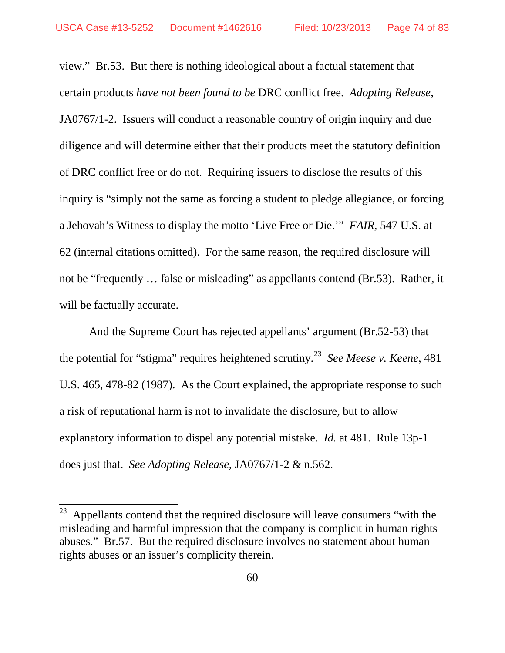view." Br.53. But there is nothing ideological about a factual statement that certain products *have not been found to be* DRC conflict free. *Adopting Release*, JA0767/1-2. Issuers will conduct a reasonable country of origin inquiry and due diligence and will determine either that their products meet the statutory definition of DRC conflict free or do not. Requiring issuers to disclose the results of this inquiry is "simply not the same as forcing a student to pledge allegiance, or forcing a Jehovah's Witness to display the motto 'Live Free or Die.'" *FAIR*, 547 U.S. at 62 (internal citations omitted). For the same reason, the required disclosure will not be "frequently … false or misleading" as appellants contend (Br.53). Rather, it will be factually accurate.

And the Supreme Court has rejected appellants' argument (Br.52-53) that the potential for "stigma" requires heightened scrutiny. [23](#page-73-0) *See Meese v. Keene*, 481 U.S. 465, 478-82 (1987). As the Court explained, the appropriate response to such a risk of reputational harm is not to invalidate the disclosure, but to allow explanatory information to dispel any potential mistake. *Id.* at 481. Rule 13p-1 does just that. *See Adopting Release*, JA0767/1-2 & n.562.

<span id="page-73-0"></span> $23$  Appellants contend that the required disclosure will leave consumers "with the misleading and harmful impression that the company is complicit in human rights abuses." Br.57. But the required disclosure involves no statement about human rights abuses or an issuer's complicity therein.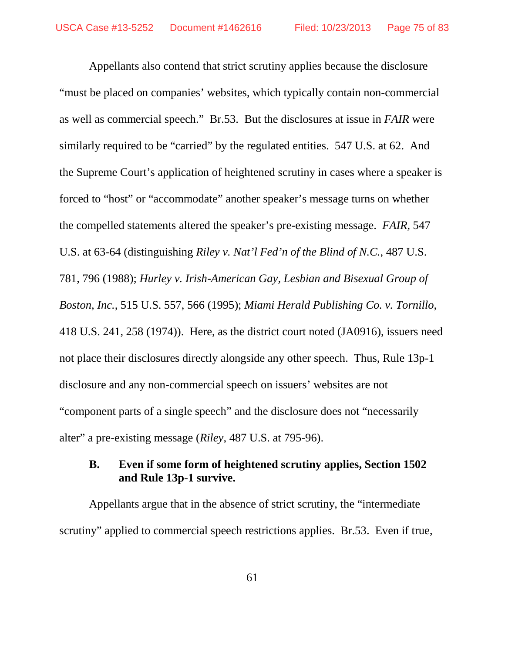Appellants also contend that strict scrutiny applies because the disclosure "must be placed on companies' websites, which typically contain non-commercial as well as commercial speech." Br.53. But the disclosures at issue in *FAIR* were similarly required to be "carried" by the regulated entities. 547 U.S. at 62. And the Supreme Court's application of heightened scrutiny in cases where a speaker is forced to "host" or "accommodate" another speaker's message turns on whether the compelled statements altered the speaker's pre-existing message. *FAIR*, 547 U.S. at 63-64 (distinguishing *Riley v. Nat'l Fed'n of the Blind of N.C.*, 487 U.S. 781, 796 (1988); *Hurley v. Irish-American Gay, Lesbian and Bisexual Group of Boston, Inc.*, 515 U.S. 557, 566 (1995); *Miami Herald Publishing Co. v. Tornillo*, 418 U.S. 241, 258 (1974)). Here, as the district court noted (JA0916), issuers need not place their disclosures directly alongside any other speech. Thus, Rule 13p-1 disclosure and any non-commercial speech on issuers' websites are not "component parts of a single speech" and the disclosure does not "necessarily alter" a pre-existing message (*Riley*, 487 U.S. at 795-96).

# **B. Even if some form of heightened scrutiny applies, Section 1502 and Rule 13p-1 survive.**

Appellants argue that in the absence of strict scrutiny, the "intermediate scrutiny" applied to commercial speech restrictions applies. Br.53. Even if true,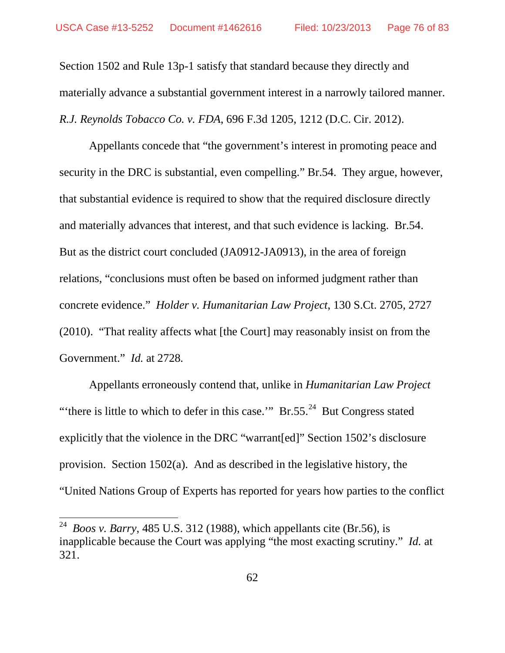Section 1502 and Rule 13p-1 satisfy that standard because they directly and materially advance a substantial government interest in a narrowly tailored manner. *R.J. Reynolds Tobacco Co. v. FDA*, 696 F.3d 1205, 1212 (D.C. Cir. 2012).

Appellants concede that "the government's interest in promoting peace and security in the DRC is substantial, even compelling." Br.54. They argue, however, that substantial evidence is required to show that the required disclosure directly and materially advances that interest, and that such evidence is lacking. Br.54. But as the district court concluded (JA0912-JA0913), in the area of foreign relations, "conclusions must often be based on informed judgment rather than concrete evidence." *Holder v. Humanitarian Law Project*, 130 S.Ct. 2705, 2727 (2010). "That reality affects what [the Court] may reasonably insist on from the Government." *Id.* at 2728*.*

Appellants erroneously contend that, unlike in *Humanitarian Law Project* "there is little to which to defer in this case."  $Br.55.^{24}$  $Br.55.^{24}$  $Br.55.^{24}$  But Congress stated explicitly that the violence in the DRC "warrant[ed]" Section 1502's disclosure provision. Section 1502(a). And as described in the legislative history, the "United Nations Group of Experts has reported for years how parties to the conflict

<span id="page-75-0"></span> <sup>24</sup> *Boos v. Barry*, 485 U.S. 312 (1988), which appellants cite (Br.56), is inapplicable because the Court was applying "the most exacting scrutiny." *Id.* at 321.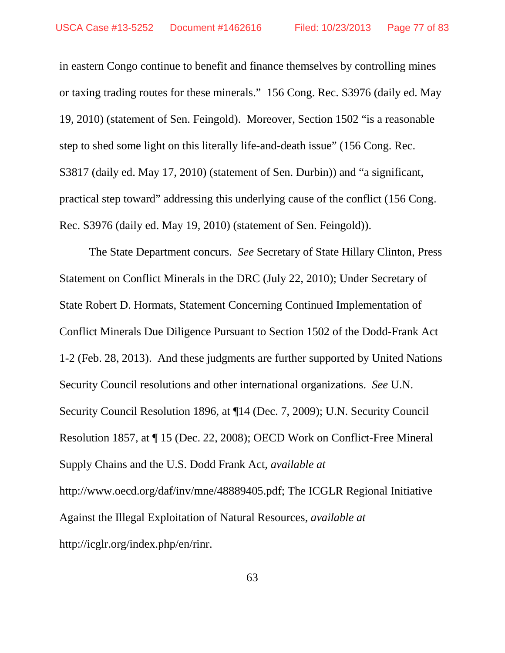in eastern Congo continue to benefit and finance themselves by controlling mines or taxing trading routes for these minerals." 156 Cong. Rec. S3976 (daily ed. May 19, 2010) (statement of Sen. Feingold). Moreover, Section 1502 "is a reasonable step to shed some light on this literally life-and-death issue" (156 Cong. Rec. S3817 (daily ed. May 17, 2010) (statement of Sen. Durbin)) and "a significant, practical step toward" addressing this underlying cause of the conflict (156 Cong. Rec. S3976 (daily ed. May 19, 2010) (statement of Sen. Feingold)).

The State Department concurs. *See* Secretary of State Hillary Clinton, Press Statement on Conflict Minerals in the DRC (July 22, 2010); Under Secretary of State Robert D. Hormats, Statement Concerning Continued Implementation of Conflict Minerals Due Diligence Pursuant to Section 1502 of the Dodd-Frank Act 1-2 (Feb. 28, 2013). And these judgments are further supported by United Nations Security Council resolutions and other international organizations. *See* U.N. Security Council Resolution 1896, at ¶14 (Dec. 7, 2009); U.N. Security Council Resolution 1857, at ¶ 15 (Dec. 22, 2008); OECD Work on Conflict-Free Mineral Supply Chains and the U.S. Dodd Frank Act, *available at* http://www.oecd.org/daf/inv/mne/48889405.pdf; The ICGLR Regional Initiative Against the Illegal Exploitation of Natural Resources, *available at* http://icglr.org/index.php/en/rinr.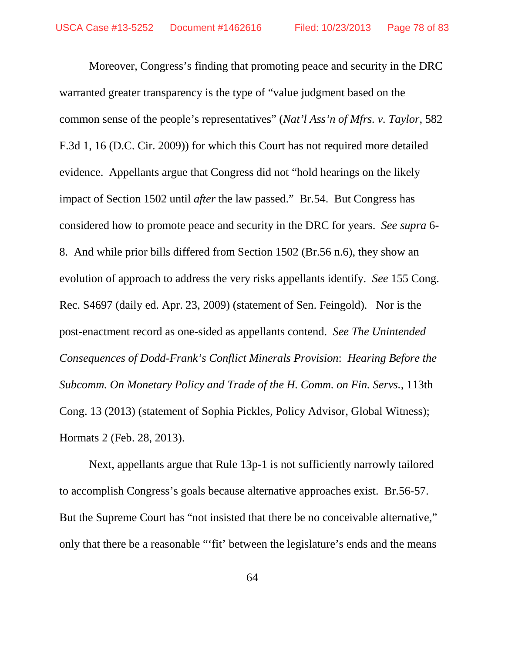Moreover, Congress's finding that promoting peace and security in the DRC warranted greater transparency is the type of "value judgment based on the common sense of the people's representatives" (*Nat'l Ass'n of Mfrs. v. Taylor*, 582 F.3d 1, 16 (D.C. Cir. 2009)) for which this Court has not required more detailed evidence. Appellants argue that Congress did not "hold hearings on the likely impact of Section 1502 until *after* the law passed." Br.54. But Congress has considered how to promote peace and security in the DRC for years. *See supra* 6- 8. And while prior bills differed from Section 1502 (Br.56 n.6), they show an evolution of approach to address the very risks appellants identify. *See* 155 Cong. Rec. S4697 (daily ed. Apr. 23, 2009) (statement of Sen. Feingold). Nor is the post-enactment record as one-sided as appellants contend. *See The Unintended Consequences of Dodd-Frank's Conflict Minerals Provision*: *Hearing Before the Subcomm. On Monetary Policy and Trade of the H. Comm. on Fin. Servs.*, 113th Cong. 13 (2013) (statement of Sophia Pickles, Policy Advisor, Global Witness); Hormats 2 (Feb. 28, 2013).

Next, appellants argue that Rule 13p-1 is not sufficiently narrowly tailored to accomplish Congress's goals because alternative approaches exist. Br.56-57. But the Supreme Court has "not insisted that there be no conceivable alternative," only that there be a reasonable "'fit' between the legislature's ends and the means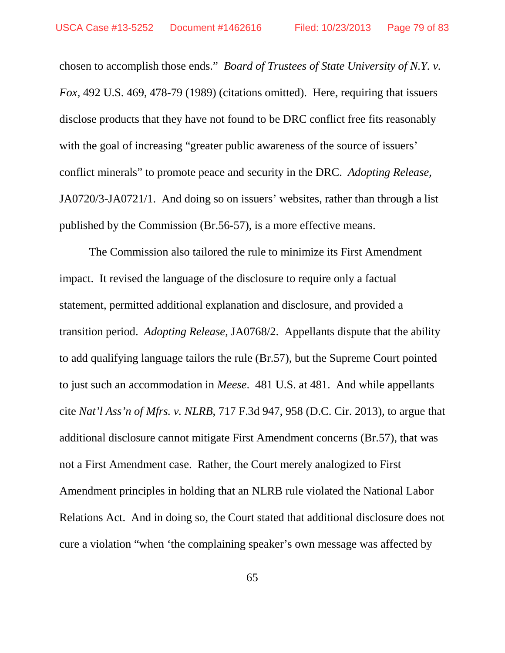chosen to accomplish those ends." *Board of Trustees of State University of N.Y. v. Fox*, 492 U.S. 469, 478-79 (1989) (citations omitted). Here, requiring that issuers disclose products that they have not found to be DRC conflict free fits reasonably with the goal of increasing "greater public awareness of the source of issuers' conflict minerals" to promote peace and security in the DRC. *Adopting Release*, JA0720/3-JA0721/1. And doing so on issuers' websites, rather than through a list published by the Commission (Br.56-57), is a more effective means.

The Commission also tailored the rule to minimize its First Amendment impact. It revised the language of the disclosure to require only a factual statement, permitted additional explanation and disclosure, and provided a transition period. *Adopting Release*, JA0768/2. Appellants dispute that the ability to add qualifying language tailors the rule (Br.57), but the Supreme Court pointed to just such an accommodation in *Meese*. 481 U.S. at 481. And while appellants cite *Nat'l Ass'n of Mfrs. v. NLRB*, 717 F.3d 947, 958 (D.C. Cir. 2013), to argue that additional disclosure cannot mitigate First Amendment concerns (Br.57), that was not a First Amendment case. Rather, the Court merely analogized to First Amendment principles in holding that an NLRB rule violated the National Labor Relations Act. And in doing so, the Court stated that additional disclosure does not cure a violation "when 'the complaining speaker's own message was affected by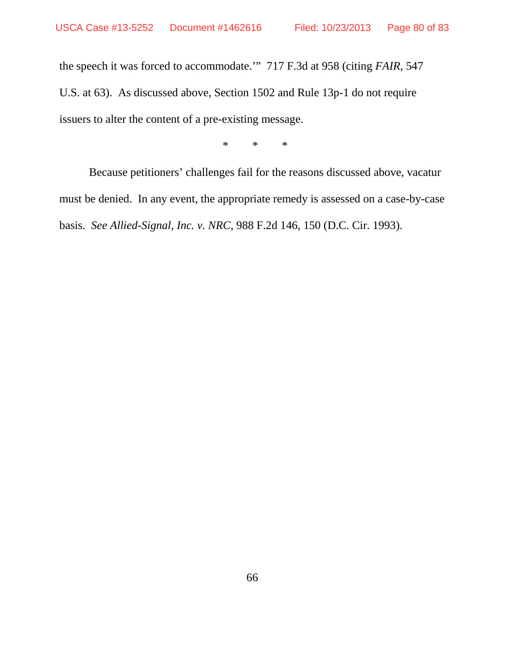the speech it was forced to accommodate.'" 717 F.3d at 958 (citing *FAIR*, 547 U.S. at 63). As discussed above, Section 1502 and Rule 13p-1 do not require issuers to alter the content of a pre-existing message.

\* \* \*

Because petitioners' challenges fail for the reasons discussed above, vacatur must be denied. In any event, the appropriate remedy is assessed on a case-by-case basis. *See Allied-Signal, Inc. v. NRC*, 988 F.2d 146, 150 (D.C. Cir. 1993).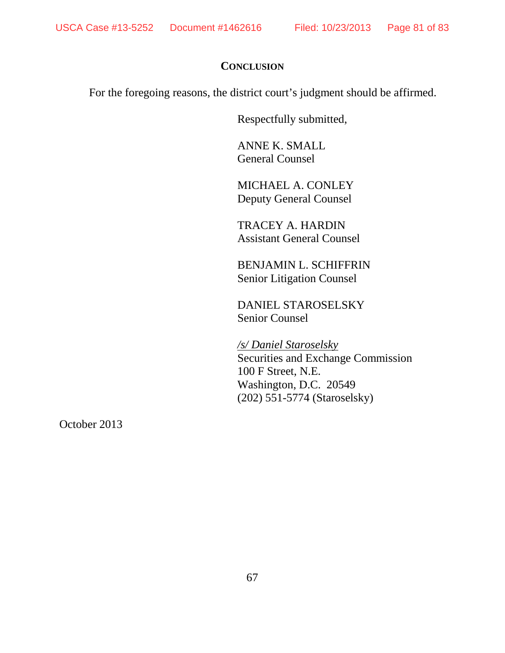#### **CONCLUSION**

For the foregoing reasons, the district court's judgment should be affirmed.

Respectfully submitted,

ANNE K. SMALL General Counsel

MICHAEL A. CONLEY Deputy General Counsel

TRACEY A. HARDIN Assistant General Counsel

BENJAMIN L. SCHIFFRIN Senior Litigation Counsel

DANIEL STAROSELSKY Senior Counsel

*/s/ Daniel Staroselsky*  Securities and Exchange Commission 100 F Street, N.E. Washington, D.C. 20549 (202) 551-5774 (Staroselsky)

October 2013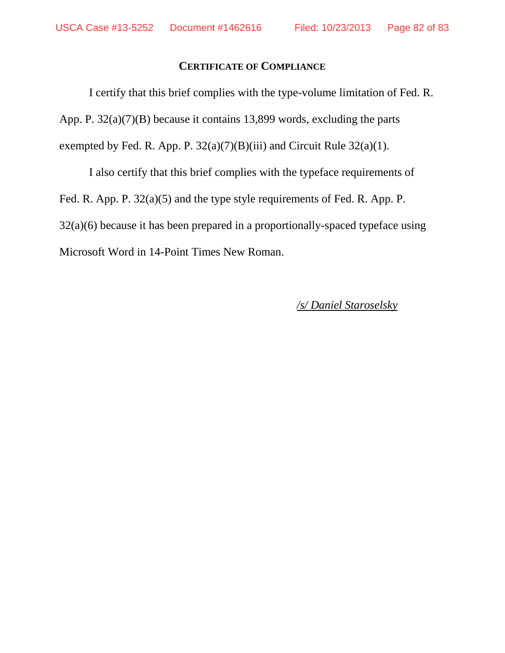## **CERTIFICATE OF COMPLIANCE**

I certify that this brief complies with the type-volume limitation of Fed. R. App. P. 32(a)(7)(B) because it contains 13,899 words, excluding the parts exempted by Fed. R. App. P.  $32(a)(7)(B)(iii)$  and Circuit Rule  $32(a)(1)$ .

I also certify that this brief complies with the typeface requirements of Fed. R. App. P. 32(a)(5) and the type style requirements of Fed. R. App. P. 32(a)(6) because it has been prepared in a proportionally-spaced typeface using Microsoft Word in 14-Point Times New Roman.

## */s/ Daniel Staroselsky*